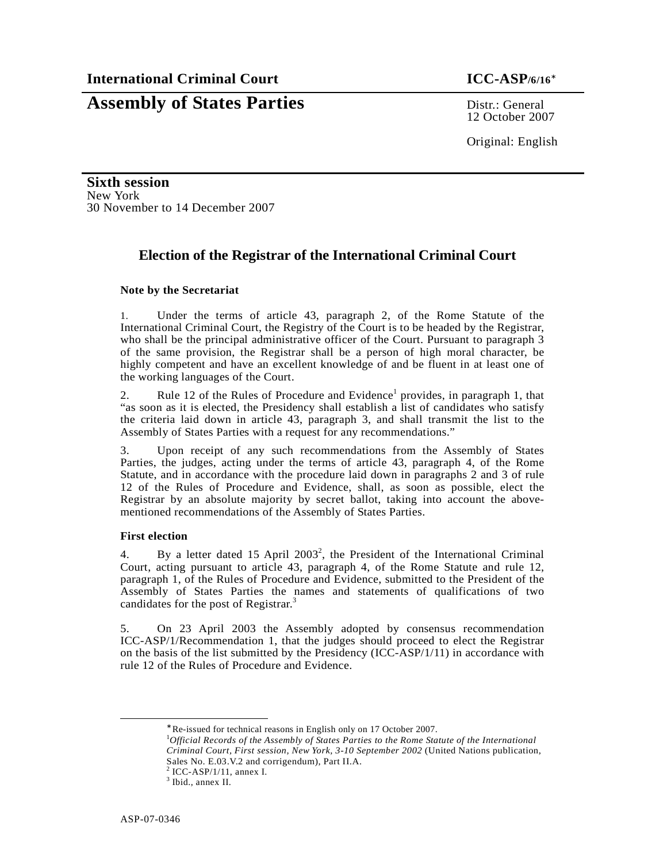# **Assembly of States Parties** Distr.: General

12 October 2007

Original: English

**Sixth session**  New York 30 November to 14 December 2007

## **Election of the Registrar of the International Criminal Court**

### **Note by the Secretariat**

1. Under the terms of article 43, paragraph 2, of the Rome Statute of the International Criminal Court, the Registry of the Court is to be headed by the Registrar, who shall be the principal administrative officer of the Court. Pursuant to paragraph 3 of the same provision, the Registrar shall be a person of high moral character, be highly competent and have an excellent knowledge of and be fluent in at least one of the working languages of the Court.

2. Rule 12 of the Rules of Procedure and Evidence<sup>1</sup> provides, in paragraph 1, that "as soon as it is elected, the Presidency shall establish a list of candidates who satisfy the criteria laid down in article 43, paragraph 3, and shall transmit the list to the Assembly of States Parties with a request for any recommendations."

3. Upon receipt of any such recommendations from the Assembly of States Parties, the judges, acting under the terms of article 43, paragraph 4, of the Rome Statute, and in accordance with the procedure laid down in paragraphs 2 and 3 of rule 12 of the Rules of Procedure and Evidence, shall, as soon as possible, elect the Registrar by an absolute majority by secret ballot, taking into account the abovementioned recommendations of the Assembly of States Parties.

#### **First election**

4. By a letter dated 15 April  $2003^2$ , the President of the International Criminal Court, acting pursuant to article 43, paragraph 4, of the Rome Statute and rule 12, paragraph 1, of the Rules of Procedure and Evidence, submitted to the President of the Assembly of States Parties the names and statements of qualifications of two candidates for the post of Registrar.<sup>3</sup>

5. On 23 April 2003 the Assembly adopted by consensus recommendation ICC-ASP/1/Recommendation 1, that the judges should proceed to elect the Registrar on the basis of the list submitted by the Presidency (ICC-ASP/1/11) in accordance with rule 12 of the Rules of Procedure and Evidence.

<u>.</u>

<sup>∗</sup> Re-issued for technical reasons in English only on 17 October 2007.

<sup>1</sup>*Official Records of the Assembly of States Parties to the Rome Statute of the International Criminal Court, First session, New York, 3-10 September 2002* (United Nations publication, Sales No. E.03.V.2 and corrigendum), Part II.A.

 $2$  ICC-ASP/1/11, annex I.

<sup>3</sup> Ibid., annex II.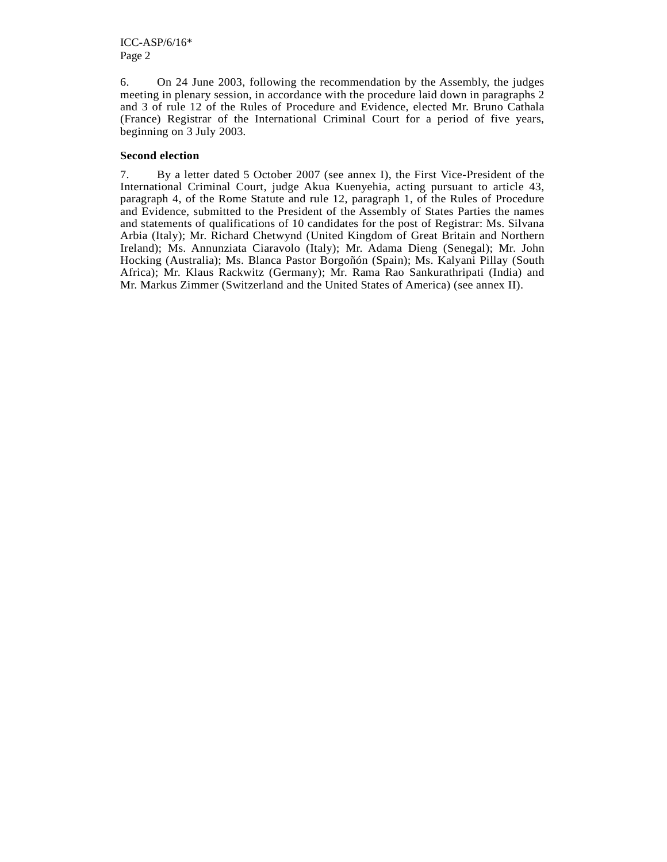6. On 24 June 2003, following the recommendation by the Assembly, the judges meeting in plenary session, in accordance with the procedure laid down in paragraphs 2 and 3 of rule 12 of the Rules of Procedure and Evidence, elected Mr. Bruno Cathala (France) Registrar of the International Criminal Court for a period of five years, beginning on 3 July 2003.

### **Second election**

7. By a letter dated 5 October 2007 (see annex I), the First Vice-President of the International Criminal Court, judge Akua Kuenyehia, acting pursuant to article 43, paragraph 4, of the Rome Statute and rule 12, paragraph 1, of the Rules of Procedure and Evidence, submitted to the President of the Assembly of States Parties the names and statements of qualifications of 10 candidates for the post of Registrar: Ms. Silvana Arbia (Italy); Mr. Richard Chetwynd (United Kingdom of Great Britain and Northern Ireland); Ms. Annunziata Ciaravolo (Italy); Mr. Adama Dieng (Senegal); Mr. John Hocking (Australia); Ms. Blanca Pastor Borgoñón (Spain); Ms. Kalyani Pillay (South Africa); Mr. Klaus Rackwitz (Germany); Mr. Rama Rao Sankurathripati (India) and Mr. Markus Zimmer (Switzerland and the United States of America) (see annex II).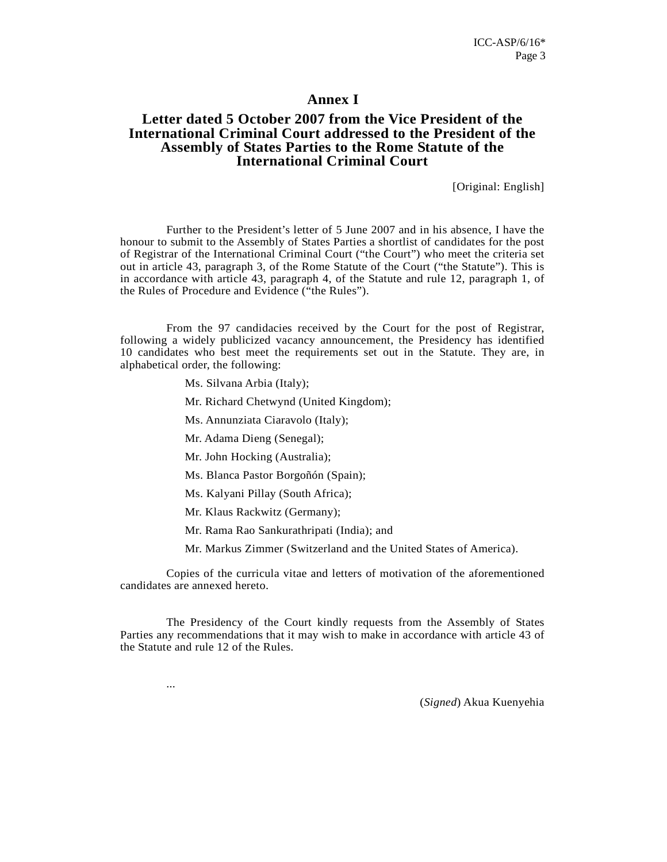### **Annex I**

### **Letter dated 5 October 2007 from the Vice President of the International Criminal Court addressed to the President of the Assembly of States Parties to the Rome Statute of the International Criminal Court**

[Original: English]

Further to the President's letter of 5 June 2007 and in his absence, I have the honour to submit to the Assembly of States Parties a shortlist of candidates for the post of Registrar of the International Criminal Court ("the Court") who meet the criteria set out in article 43, paragraph 3, of the Rome Statute of the Court ("the Statute"). This is in accordance with article 43, paragraph 4, of the Statute and rule 12, paragraph 1, of the Rules of Procedure and Evidence ("the Rules").

 From the 97 candidacies received by the Court for the post of Registrar, following a widely publicized vacancy announcement, the Presidency has identified 10 candidates who best meet the requirements set out in the Statute. They are, in alphabetical order, the following:

Ms. Silvana Arbia (Italy);

Mr. Richard Chetwynd (United Kingdom);

Ms. Annunziata Ciaravolo (Italy);

Mr. Adama Dieng (Senegal);

Mr. John Hocking (Australia);

Ms. Blanca Pastor Borgoñón (Spain);

Ms. Kalyani Pillay (South Africa);

Mr. Klaus Rackwitz (Germany);

...

Mr. Rama Rao Sankurathripati (India); and

Mr. Markus Zimmer (Switzerland and the United States of America).

 Copies of the curricula vitae and letters of motivation of the aforementioned candidates are annexed hereto.

 The Presidency of the Court kindly requests from the Assembly of States Parties any recommendations that it may wish to make in accordance with article 43 of the Statute and rule 12 of the Rules.

(*Signed*) Akua Kuenyehia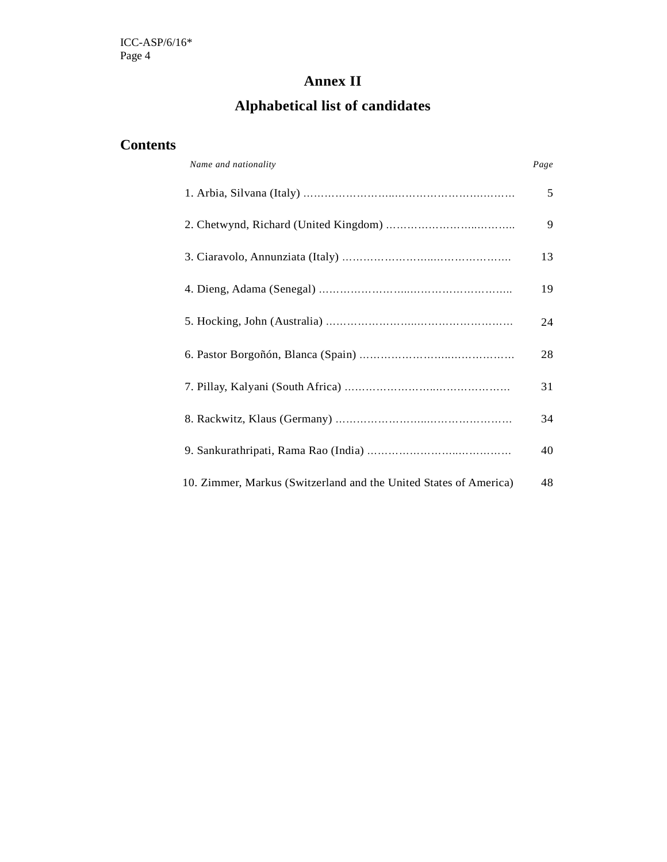# **Annex II**

# **Alphabetical list of candidates**

# **Contents**

| Name and nationality                                              | Page |
|-------------------------------------------------------------------|------|
|                                                                   | 5    |
|                                                                   | 9    |
|                                                                   | 13   |
|                                                                   | 19   |
|                                                                   | 24   |
|                                                                   | 28   |
|                                                                   | 31   |
|                                                                   | 34   |
|                                                                   | 40   |
| 10. Zimmer, Markus (Switzerland and the United States of America) | 48   |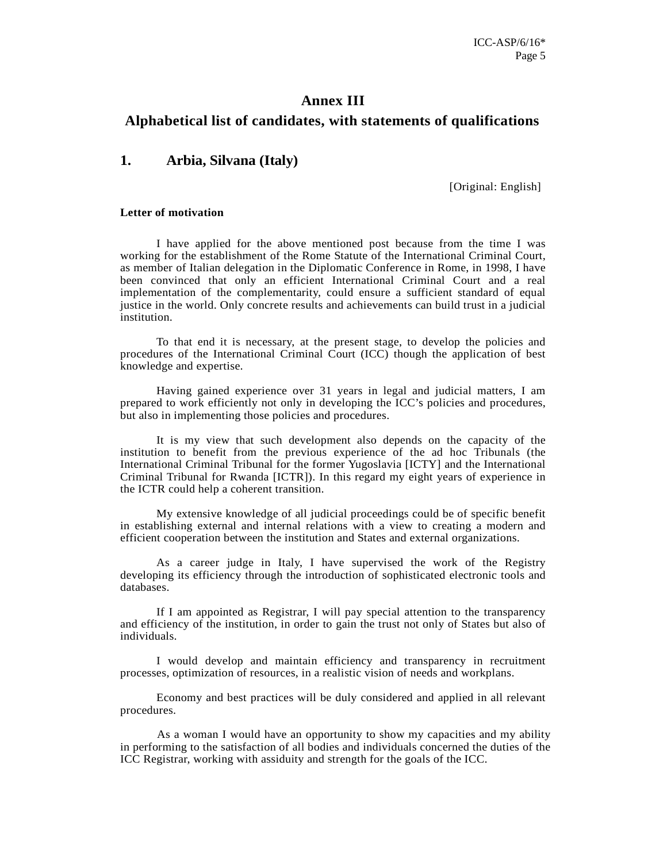### **Annex III**

### **Alphabetical list of candidates, with statements of qualifications**

### **1. Arbia, Silvana (Italy)**

[Original: English]

#### **Letter of motivation**

I have applied for the above mentioned post because from the time I was working for the establishment of the Rome Statute of the International Criminal Court, as member of Italian delegation in the Diplomatic Conference in Rome, in 1998, I have been convinced that only an efficient International Criminal Court and a real implementation of the complementarity, could ensure a sufficient standard of equal justice in the world. Only concrete results and achievements can build trust in a judicial institution.

To that end it is necessary, at the present stage, to develop the policies and procedures of the International Criminal Court (ICC) though the application of best knowledge and expertise.

Having gained experience over 31 years in legal and judicial matters, I am prepared to work efficiently not only in developing the ICC's policies and procedures, but also in implementing those policies and procedures.

It is my view that such development also depends on the capacity of the institution to benefit from the previous experience of the ad hoc Tribunals (the International Criminal Tribunal for the former Yugoslavia [ICTY] and the International Criminal Tribunal for Rwanda [ICTR]). In this regard my eight years of experience in the ICTR could help a coherent transition.

My extensive knowledge of all judicial proceedings could be of specific benefit in establishing external and internal relations with a view to creating a modern and efficient cooperation between the institution and States and external organizations.

As a career judge in Italy, I have supervised the work of the Registry developing its efficiency through the introduction of sophisticated electronic tools and databases.

If I am appointed as Registrar, I will pay special attention to the transparency and efficiency of the institution, in order to gain the trust not only of States but also of individuals.

I would develop and maintain efficiency and transparency in recruitment processes, optimization of resources, in a realistic vision of needs and workplans.

Economy and best practices will be duly considered and applied in all relevant procedures.

 As a woman I would have an opportunity to show my capacities and my ability in performing to the satisfaction of all bodies and individuals concerned the duties of the ICC Registrar, working with assiduity and strength for the goals of the ICC.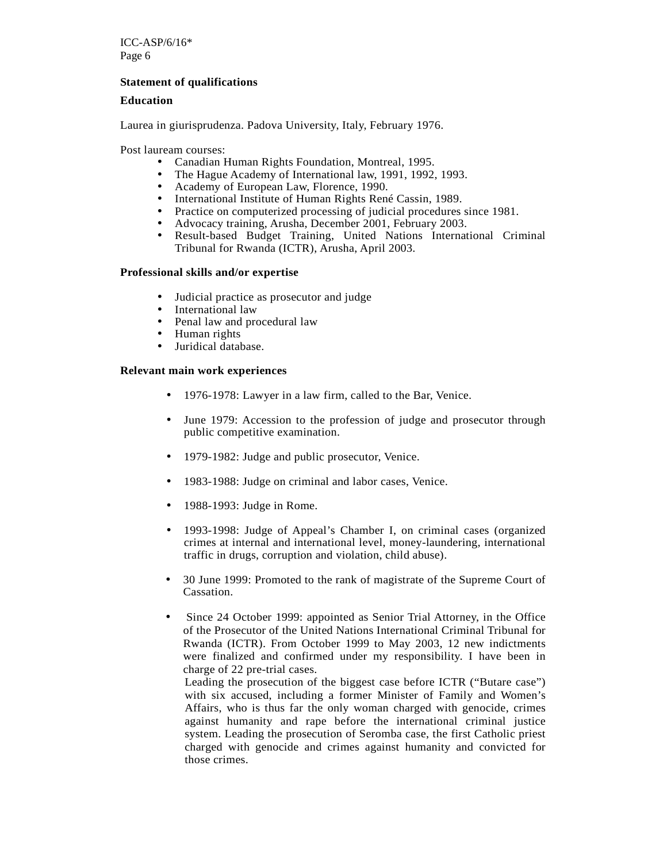### **Statement of qualifications**

#### **Education**

Laurea in giurisprudenza. Padova University, Italy, February 1976.

Post lauream courses:

- Canadian Human Rights Foundation, Montreal, 1995.
- The Hague Academy of International law, 1991, 1992, 1993.
- Academy of European Law, Florence, 1990.
- International Institute of Human Rights René Cassin, 1989.<br>• Practice on computerized processing of indicial procedures
- Practice on computerized processing of judicial procedures since 1981.
- Advocacy training, Arusha, December 2001, February 2003.
- Result-based Budget Training, United Nations International Criminal Tribunal for Rwanda (ICTR), Arusha, April 2003.

#### **Professional skills and/or expertise**

- Judicial practice as prosecutor and judge
- International law
- Penal law and procedural law
- Human rights
- Juridical database.

#### **Relevant main work experiences**

- 1976-1978: Lawyer in a law firm, called to the Bar, Venice.
- June 1979: Accession to the profession of judge and prosecutor through public competitive examination.
- 1979-1982: Judge and public prosecutor, Venice.
- 1983-1988: Judge on criminal and labor cases, Venice.
- 1988-1993: Judge in Rome.
- 1993-1998: Judge of Appeal's Chamber I, on criminal cases (organized crimes at internal and international level, money-laundering, international traffic in drugs, corruption and violation, child abuse).
- 30 June 1999: Promoted to the rank of magistrate of the Supreme Court of Cassation.
- Since 24 October 1999: appointed as Senior Trial Attorney, in the Office of the Prosecutor of the United Nations International Criminal Tribunal for Rwanda (ICTR). From October 1999 to May 2003, 12 new indictments were finalized and confirmed under my responsibility. I have been in charge of 22 pre-trial cases.

Leading the prosecution of the biggest case before ICTR ("Butare case") with six accused, including a former Minister of Family and Women's Affairs, who is thus far the only woman charged with genocide, crimes against humanity and rape before the international criminal justice system. Leading the prosecution of Seromba case, the first Catholic priest charged with genocide and crimes against humanity and convicted for those crimes.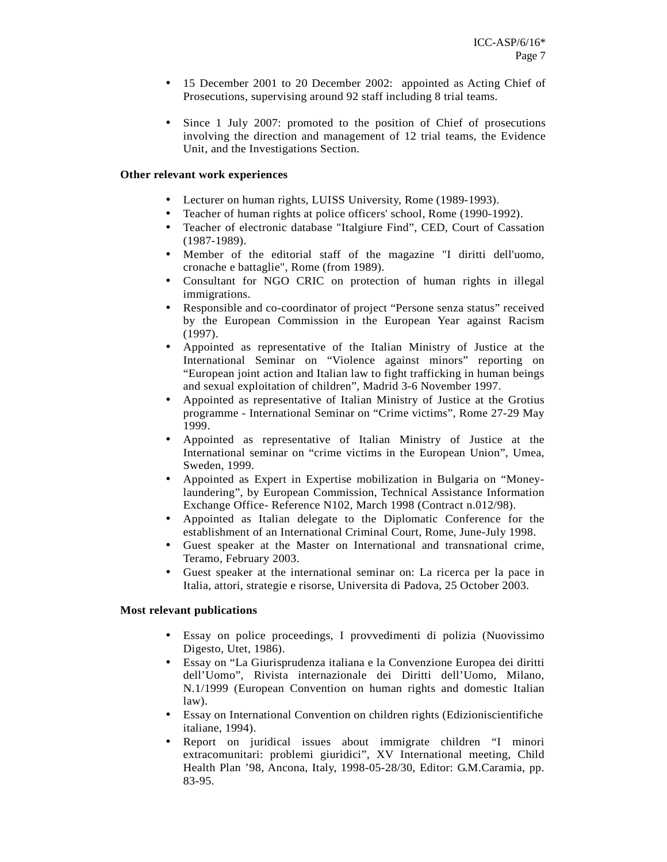- 15 December 2001 to 20 December 2002: appointed as Acting Chief of Prosecutions, supervising around 92 staff including 8 trial teams.
- Since 1 July 2007: promoted to the position of Chief of prosecutions involving the direction and management of 12 trial teams, the Evidence Unit, and the Investigations Section.

### **Other relevant work experiences**

- Lecturer on human rights, LUISS University, Rome (1989-1993).
- Teacher of human rights at police officers' school, Rome (1990-1992).
- Teacher of electronic database "Italgiure Find", CED, Court of Cassation (1987-1989).
- Member of the editorial staff of the magazine "I diritti dell'uomo, cronache e battaglie", Rome (from 1989).
- Consultant for NGO CRIC on protection of human rights in illegal immigrations.
- Responsible and co-coordinator of project "Persone senza status" received by the European Commission in the European Year against Racism (1997).
- Appointed as representative of the Italian Ministry of Justice at the International Seminar on "Violence against minors" reporting on "European joint action and Italian law to fight trafficking in human beings and sexual exploitation of children", Madrid 3-6 November 1997.
- Appointed as representative of Italian Ministry of Justice at the Grotius programme - International Seminar on "Crime victims", Rome 27-29 May 1999.
- Appointed as representative of Italian Ministry of Justice at the International seminar on "crime victims in the European Union", Umea, Sweden, 1999.
- Appointed as Expert in Expertise mobilization in Bulgaria on "Moneylaundering", by European Commission, Technical Assistance Information Exchange Office- Reference N102, March 1998 (Contract n.012/98).
- Appointed as Italian delegate to the Diplomatic Conference for the establishment of an International Criminal Court, Rome, June-July 1998.
- Guest speaker at the Master on International and transnational crime, Teramo, February 2003.
- Guest speaker at the international seminar on: La ricerca per la pace in Italia, attori, strategie e risorse, Universita di Padova, 25 October 2003.

#### **Most relevant publications**

- Essay on police proceedings, I provvedimenti di polizia (Nuovissimo Digesto, Utet, 1986).
- Essay on "La Giurisprudenza italiana e la Convenzione Europea dei diritti dell'Uomo", Rivista internazionale dei Diritti dell'Uomo, Milano, N.1/1999 (European Convention on human rights and domestic Italian law).
- Essay on International Convention on children rights (Edizioniscientifiche italiane, 1994).
- Report on juridical issues about immigrate children "I minori extracomunitari: problemi giuridici", XV International meeting, Child Health Plan '98, Ancona, Italy, 1998-05-28/30, Editor: G.M.Caramia, pp. 83-95.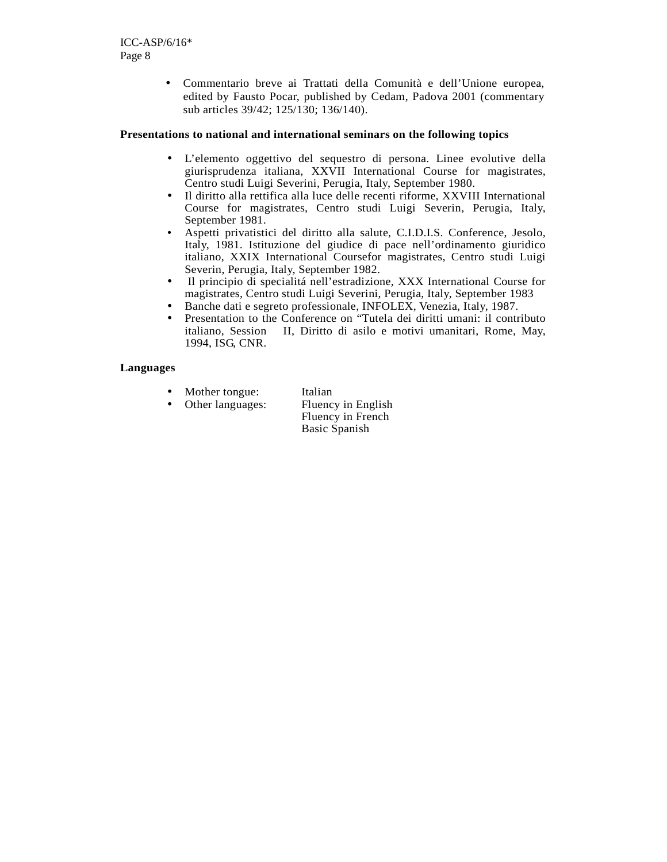• Commentario breve ai Trattati della Comunità e dell'Unione europea, edited by Fausto Pocar, published by Cedam, Padova 2001 (commentary sub articles 39/42; 125/130; 136/140).

### **Presentations to national and international seminars on the following topics**

- L'elemento oggettivo del sequestro di persona. Linee evolutive della giurisprudenza italiana, XXVII International Course for magistrates, Centro studi Luigi Severini, Perugia, Italy, September 1980.
- Il diritto alla rettifica alla luce delle recenti riforme, XXVIII International Course for magistrates, Centro studi Luigi Severin, Perugia, Italy, September 1981.
- Aspetti privatistici del diritto alla salute, C.I.D.I.S. Conference, Jesolo, Italy, 1981. Istituzione del giudice di pace nell'ordinamento giuridico italiano, XXIX International Coursefor magistrates, Centro studi Luigi Severin, Perugia, Italy, September 1982.
- Il principio di specialitá nell'estradizione, XXX International Course for magistrates, Centro studi Luigi Severini, Perugia, Italy, September 1983
- Banche dati e segreto professionale, INFOLEX, Venezia, Italy, 1987.
- Presentation to the Conference on "Tutela dei diritti umani: il contributo italiano, Session II, Diritto di asilo e motivi umanitari, Rome, May, 1994, ISG, CNR.

### **Languages**

- Mother tongue: Italian
- Other languages: Fluency in English
	- Fluency in French Basic Spanish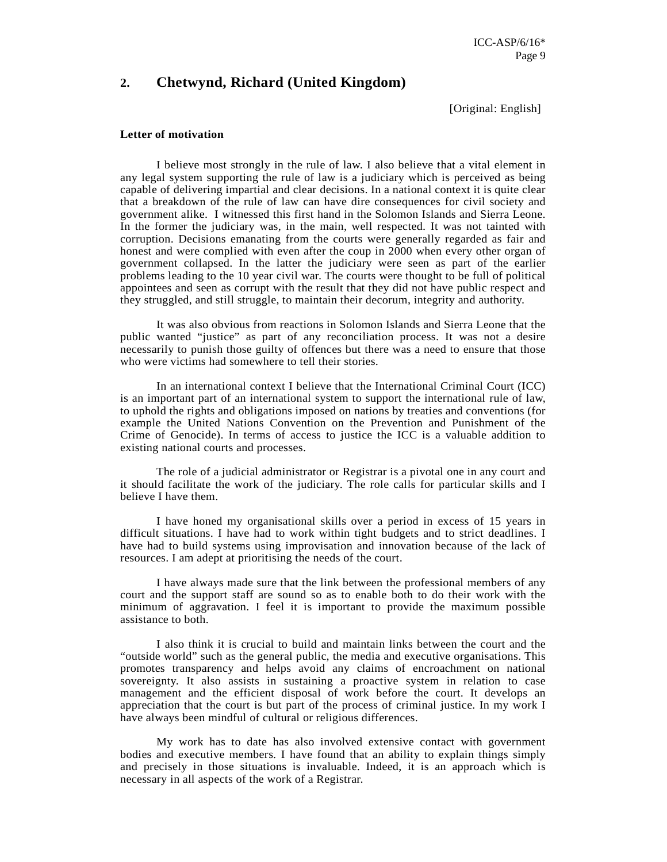### **2. Chetwynd, Richard (United Kingdom)**

[Original: English]

#### **Letter of motivation**

I believe most strongly in the rule of law. I also believe that a vital element in any legal system supporting the rule of law is a judiciary which is perceived as being capable of delivering impartial and clear decisions. In a national context it is quite clear that a breakdown of the rule of law can have dire consequences for civil society and government alike. I witnessed this first hand in the Solomon Islands and Sierra Leone. In the former the judiciary was, in the main, well respected. It was not tainted with corruption. Decisions emanating from the courts were generally regarded as fair and honest and were complied with even after the coup in 2000 when every other organ of government collapsed. In the latter the judiciary were seen as part of the earlier problems leading to the 10 year civil war. The courts were thought to be full of political appointees and seen as corrupt with the result that they did not have public respect and they struggled, and still struggle, to maintain their decorum, integrity and authority.

It was also obvious from reactions in Solomon Islands and Sierra Leone that the public wanted "justice" as part of any reconciliation process. It was not a desire necessarily to punish those guilty of offences but there was a need to ensure that those who were victims had somewhere to tell their stories.

In an international context I believe that the International Criminal Court (ICC) is an important part of an international system to support the international rule of law, to uphold the rights and obligations imposed on nations by treaties and conventions (for example the United Nations Convention on the Prevention and Punishment of the Crime of Genocide). In terms of access to justice the ICC is a valuable addition to existing national courts and processes.

The role of a judicial administrator or Registrar is a pivotal one in any court and it should facilitate the work of the judiciary. The role calls for particular skills and I believe I have them.

I have honed my organisational skills over a period in excess of 15 years in difficult situations. I have had to work within tight budgets and to strict deadlines. I have had to build systems using improvisation and innovation because of the lack of resources. I am adept at prioritising the needs of the court.

I have always made sure that the link between the professional members of any court and the support staff are sound so as to enable both to do their work with the minimum of aggravation. I feel it is important to provide the maximum possible assistance to both.

I also think it is crucial to build and maintain links between the court and the "outside world" such as the general public, the media and executive organisations. This promotes transparency and helps avoid any claims of encroachment on national sovereignty. It also assists in sustaining a proactive system in relation to case management and the efficient disposal of work before the court. It develops an appreciation that the court is but part of the process of criminal justice. In my work I have always been mindful of cultural or religious differences.

My work has to date has also involved extensive contact with government bodies and executive members. I have found that an ability to explain things simply and precisely in those situations is invaluable. Indeed, it is an approach which is necessary in all aspects of the work of a Registrar.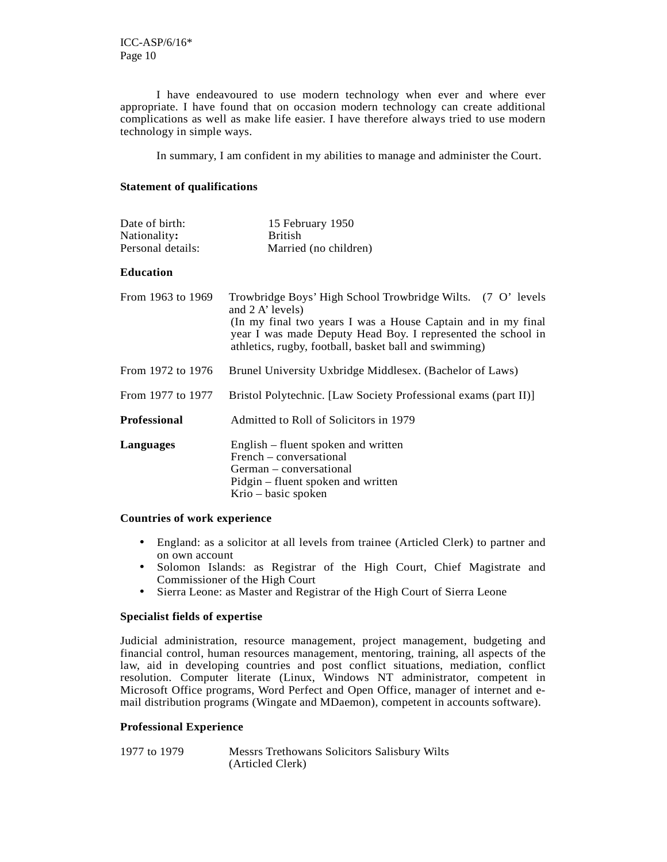I have endeavoured to use modern technology when ever and where ever appropriate. I have found that on occasion modern technology can create additional complications as well as make life easier. I have therefore always tried to use modern technology in simple ways.

In summary, I am confident in my abilities to manage and administer the Court.

#### **Statement of qualifications**

| Date of birth:    | 15 February 1950      |
|-------------------|-----------------------|
| Nationality:      | <b>British</b>        |
| Personal details: | Married (no children) |

#### **Education**

| From 1963 to 1969                                                             | Trowbridge Boys' High School Trowbridge Wilts. (7 O' levels<br>and $2 \text{ A'}$ levels)<br>(In my final two years I was a House Captain and in my final<br>year I was made Deputy Head Boy. I represented the school in<br>athletics, rugby, football, basket ball and swimming) |
|-------------------------------------------------------------------------------|------------------------------------------------------------------------------------------------------------------------------------------------------------------------------------------------------------------------------------------------------------------------------------|
| From 1972 to 1976<br>Brunel University Uxbridge Middlesex. (Bachelor of Laws) |                                                                                                                                                                                                                                                                                    |
| From 1977 to 1977                                                             | Bristol Polytechnic. [Law Society Professional exams (part II)]                                                                                                                                                                                                                    |
| <b>Professional</b>                                                           | Admitted to Roll of Solicitors in 1979                                                                                                                                                                                                                                             |
| Languages                                                                     | English – fluent spoken and written<br>French – conversational<br>German – conversational<br>Pidgin – fluent spoken and written<br>Krio – basic spoken                                                                                                                             |

#### **Countries of work experience**

- England: as a solicitor at all levels from trainee (Articled Clerk) to partner and on own account
- Solomon Islands: as Registrar of the High Court, Chief Magistrate and Commissioner of the High Court
- Sierra Leone: as Master and Registrar of the High Court of Sierra Leone

#### **Specialist fields of expertise**

Judicial administration, resource management, project management, budgeting and financial control, human resources management, mentoring, training, all aspects of the law, aid in developing countries and post conflict situations, mediation, conflict resolution. Computer literate (Linux, Windows NT administrator, competent in Microsoft Office programs, Word Perfect and Open Office, manager of internet and email distribution programs (Wingate and MDaemon), competent in accounts software).

#### **Professional Experience**

1977 to 1979 Messrs Trethowans Solicitors Salisbury Wilts (Articled Clerk)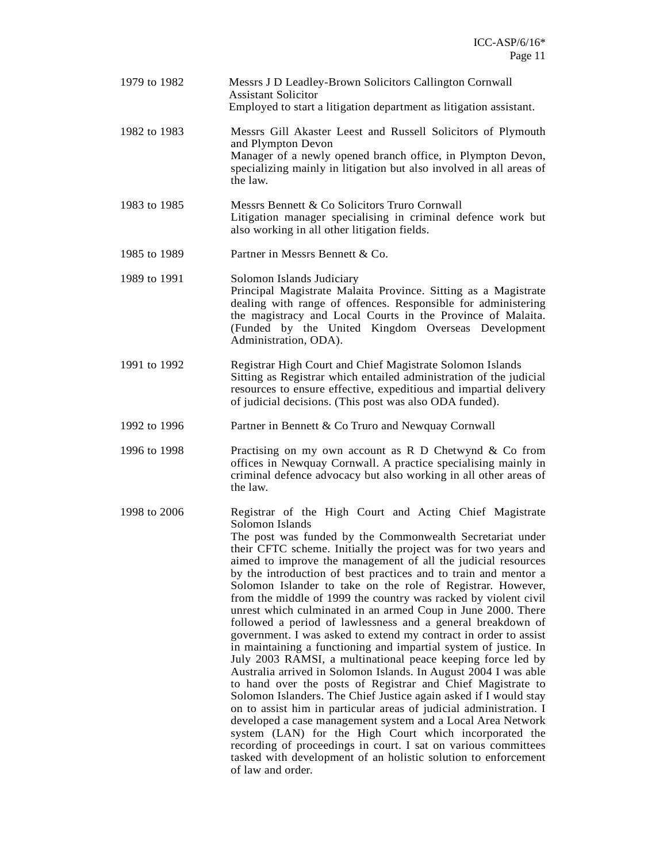| 1979 to 1982 | Messrs J D Leadley-Brown Solicitors Callington Cornwall<br><b>Assistant Solicitor</b><br>Employed to start a litigation department as litigation assistant.                                                                                                                                                                                                                                                                                                                                                                                                                                                                                                                                                                                                                                                                                                                                                                                                                                                                                                                                                                                                                                                                                                                                                                                                                         |
|--------------|-------------------------------------------------------------------------------------------------------------------------------------------------------------------------------------------------------------------------------------------------------------------------------------------------------------------------------------------------------------------------------------------------------------------------------------------------------------------------------------------------------------------------------------------------------------------------------------------------------------------------------------------------------------------------------------------------------------------------------------------------------------------------------------------------------------------------------------------------------------------------------------------------------------------------------------------------------------------------------------------------------------------------------------------------------------------------------------------------------------------------------------------------------------------------------------------------------------------------------------------------------------------------------------------------------------------------------------------------------------------------------------|
| 1982 to 1983 | Messrs Gill Akaster Leest and Russell Solicitors of Plymouth<br>and Plympton Devon<br>Manager of a newly opened branch office, in Plympton Devon,<br>specializing mainly in litigation but also involved in all areas of<br>the law.                                                                                                                                                                                                                                                                                                                                                                                                                                                                                                                                                                                                                                                                                                                                                                                                                                                                                                                                                                                                                                                                                                                                                |
| 1983 to 1985 | Messrs Bennett & Co Solicitors Truro Cornwall<br>Litigation manager specialising in criminal defence work but<br>also working in all other litigation fields.                                                                                                                                                                                                                                                                                                                                                                                                                                                                                                                                                                                                                                                                                                                                                                                                                                                                                                                                                                                                                                                                                                                                                                                                                       |
| 1985 to 1989 | Partner in Messrs Bennett & Co.                                                                                                                                                                                                                                                                                                                                                                                                                                                                                                                                                                                                                                                                                                                                                                                                                                                                                                                                                                                                                                                                                                                                                                                                                                                                                                                                                     |
| 1989 to 1991 | Solomon Islands Judiciary<br>Principal Magistrate Malaita Province. Sitting as a Magistrate<br>dealing with range of offences. Responsible for administering<br>the magistracy and Local Courts in the Province of Malaita.<br>(Funded by the United Kingdom Overseas Development<br>Administration, ODA).                                                                                                                                                                                                                                                                                                                                                                                                                                                                                                                                                                                                                                                                                                                                                                                                                                                                                                                                                                                                                                                                          |
| 1991 to 1992 | Registrar High Court and Chief Magistrate Solomon Islands<br>Sitting as Registrar which entailed administration of the judicial<br>resources to ensure effective, expeditious and impartial delivery<br>of judicial decisions. (This post was also ODA funded).                                                                                                                                                                                                                                                                                                                                                                                                                                                                                                                                                                                                                                                                                                                                                                                                                                                                                                                                                                                                                                                                                                                     |
| 1992 to 1996 | Partner in Bennett & Co Truro and Newquay Cornwall                                                                                                                                                                                                                                                                                                                                                                                                                                                                                                                                                                                                                                                                                                                                                                                                                                                                                                                                                                                                                                                                                                                                                                                                                                                                                                                                  |
| 1996 to 1998 | Practising on my own account as $R$ D Chetwynd $\&$ Co from<br>offices in Newquay Cornwall. A practice specialising mainly in<br>criminal defence advocacy but also working in all other areas of<br>the law.                                                                                                                                                                                                                                                                                                                                                                                                                                                                                                                                                                                                                                                                                                                                                                                                                                                                                                                                                                                                                                                                                                                                                                       |
| 1998 to 2006 | Registrar of the High Court and Acting Chief Magistrate<br>Solomon Islands<br>The post was funded by the Commonwealth Secretariat under<br>their CFTC scheme. Initially the project was for two years and<br>aimed to improve the management of all the judicial resources<br>by the introduction of best practices and to train and mentor a<br>Solomon Islander to take on the role of Registrar. However,<br>from the middle of 1999 the country was racked by violent civil<br>unrest which culminated in an armed Coup in June 2000. There<br>followed a period of lawlessness and a general breakdown of<br>government. I was asked to extend my contract in order to assist<br>in maintaining a functioning and impartial system of justice. In<br>July 2003 RAMSI, a multinational peace keeping force led by<br>Australia arrived in Solomon Islands. In August 2004 I was able<br>to hand over the posts of Registrar and Chief Magistrate to<br>Solomon Islanders. The Chief Justice again asked if I would stay<br>on to assist him in particular areas of judicial administration. I<br>developed a case management system and a Local Area Network<br>system (LAN) for the High Court which incorporated the<br>recording of proceedings in court. I sat on various committees<br>tasked with development of an holistic solution to enforcement<br>of law and order. |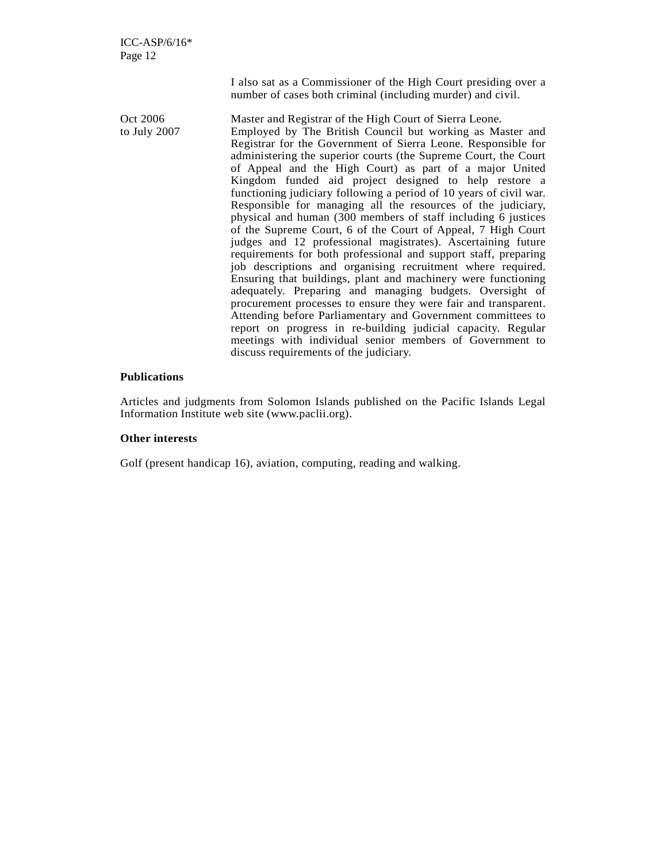I also sat as a Commissioner of the High Court presiding over a number of cases both criminal (including murder) and civil.

Oct 2006 Master and Registrar of the High Court of Sierra Leone. to July 2007 Employed by The British Council but working as Master and Registrar for the Government of Sierra Leone. Responsible for administering the superior courts (the Supreme Court, the Court of Appeal and the High Court) as part of a major United Kingdom funded aid project designed to help restore a functioning judiciary following a period of 10 years of civil war. Responsible for managing all the resources of the judiciary, physical and human (300 members of staff including 6 justices of the Supreme Court, 6 of the Court of Appeal, 7 High Court judges and 12 professional magistrates). Ascertaining future requirements for both professional and support staff, preparing job descriptions and organising recruitment where required. Ensuring that buildings, plant and machinery were functioning adequately. Preparing and managing budgets. Oversight of procurement processes to ensure they were fair and transparent. Attending before Parliamentary and Government committees to report on progress in re-building judicial capacity. Regular meetings with individual senior members of Government to discuss requirements of the judiciary.

#### **Publications**

Articles and judgments from Solomon Islands published on the Pacific Islands Legal Information Institute web site (www.paclii.org).

#### **Other interests**

Golf (present handicap 16), aviation, computing, reading and walking.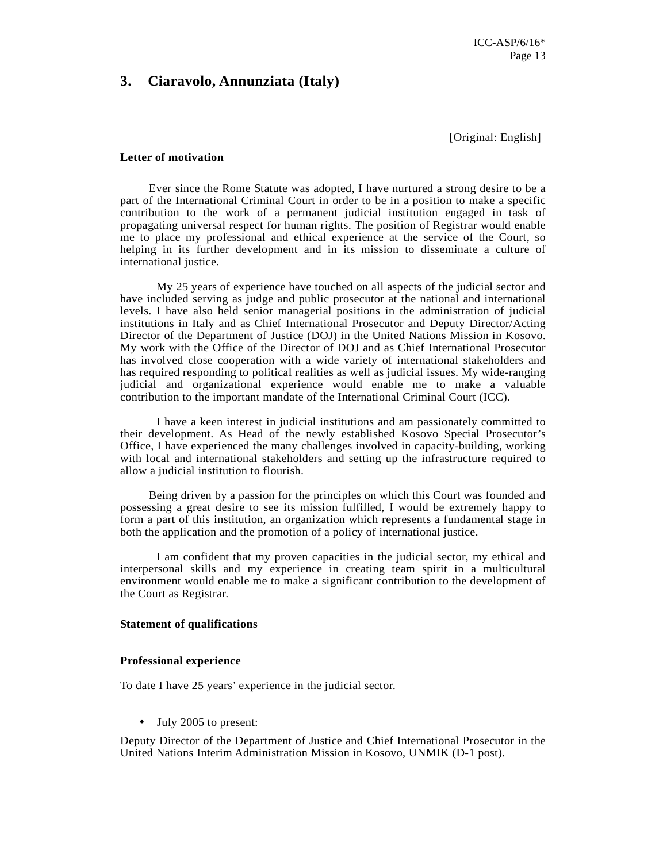### **3. Ciaravolo, Annunziata (Italy)**

[Original: English]

#### **Letter of motivation**

 Ever since the Rome Statute was adopted, I have nurtured a strong desire to be a part of the International Criminal Court in order to be in a position to make a specific contribution to the work of a permanent judicial institution engaged in task of propagating universal respect for human rights. The position of Registrar would enable me to place my professional and ethical experience at the service of the Court, so helping in its further development and in its mission to disseminate a culture of international justice.

My 25 years of experience have touched on all aspects of the judicial sector and have included serving as judge and public prosecutor at the national and international levels. I have also held senior managerial positions in the administration of judicial institutions in Italy and as Chief International Prosecutor and Deputy Director/Acting Director of the Department of Justice (DOJ) in the United Nations Mission in Kosovo. My work with the Office of the Director of DOJ and as Chief International Prosecutor has involved close cooperation with a wide variety of international stakeholders and has required responding to political realities as well as judicial issues. My wide-ranging judicial and organizational experience would enable me to make a valuable contribution to the important mandate of the International Criminal Court (ICC).

I have a keen interest in judicial institutions and am passionately committed to their development. As Head of the newly established Kosovo Special Prosecutor's Office, I have experienced the many challenges involved in capacity-building, working with local and international stakeholders and setting up the infrastructure required to allow a judicial institution to flourish.

 Being driven by a passion for the principles on which this Court was founded and possessing a great desire to see its mission fulfilled, I would be extremely happy to form a part of this institution, an organization which represents a fundamental stage in both the application and the promotion of a policy of international justice.

I am confident that my proven capacities in the judicial sector, my ethical and interpersonal skills and my experience in creating team spirit in a multicultural environment would enable me to make a significant contribution to the development of the Court as Registrar.

#### **Statement of qualifications**

#### **Professional experience**

To date I have 25 years' experience in the judicial sector.

• July 2005 to present:

Deputy Director of the Department of Justice and Chief International Prosecutor in the United Nations Interim Administration Mission in Kosovo, UNMIK (D-1 post).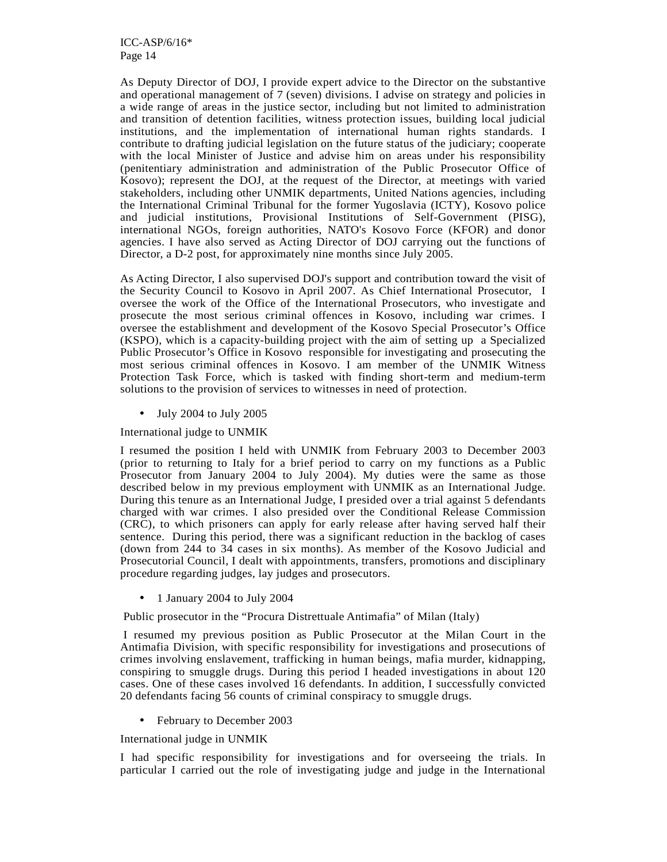As Deputy Director of DOJ, I provide expert advice to the Director on the substantive and operational management of 7 (seven) divisions. I advise on strategy and policies in a wide range of areas in the justice sector, including but not limited to administration and transition of detention facilities, witness protection issues, building local judicial institutions, and the implementation of international human rights standards. I contribute to drafting judicial legislation on the future status of the judiciary; cooperate with the local Minister of Justice and advise him on areas under his responsibility (penitentiary administration and administration of the Public Prosecutor Office of Kosovo); represent the DOJ, at the request of the Director, at meetings with varied stakeholders, including other UNMIK departments, United Nations agencies, including the International Criminal Tribunal for the former Yugoslavia (ICTY), Kosovo police and judicial institutions, Provisional Institutions of Self-Government (PISG), international NGOs, foreign authorities, NATO's Kosovo Force (KFOR) and donor agencies. I have also served as Acting Director of DOJ carrying out the functions of Director, a D-2 post, for approximately nine months since July 2005.

As Acting Director, I also supervised DOJ's support and contribution toward the visit of the Security Council to Kosovo in April 2007. As Chief International Prosecutor, I oversee the work of the Office of the International Prosecutors, who investigate and prosecute the most serious criminal offences in Kosovo, including war crimes. I oversee the establishment and development of the Kosovo Special Prosecutor's Office (KSPO), which is a capacity-building project with the aim of setting up a Specialized Public Prosecutor's Office in Kosovo responsible for investigating and prosecuting the most serious criminal offences in Kosovo. I am member of the UNMIK Witness Protection Task Force, which is tasked with finding short-term and medium-term solutions to the provision of services to witnesses in need of protection.

• July 2004 to July 2005

International judge to UNMIK

I resumed the position I held with UNMIK from February 2003 to December 2003 (prior to returning to Italy for a brief period to carry on my functions as a Public Prosecutor from January 2004 to July 2004). My duties were the same as those described below in my previous employment with UNMIK as an International Judge. During this tenure as an International Judge, I presided over a trial against 5 defendants charged with war crimes. I also presided over the Conditional Release Commission (CRC), to which prisoners can apply for early release after having served half their sentence. During this period, there was a significant reduction in the backlog of cases (down from 244 to 34 cases in six months). As member of the Kosovo Judicial and Prosecutorial Council, I dealt with appointments, transfers, promotions and disciplinary procedure regarding judges, lay judges and prosecutors.

• 1 January 2004 to July 2004

Public prosecutor in the "Procura Distrettuale Antimafia" of Milan (Italy)

 I resumed my previous position as Public Prosecutor at the Milan Court in the Antimafia Division, with specific responsibility for investigations and prosecutions of crimes involving enslavement, trafficking in human beings, mafia murder, kidnapping, conspiring to smuggle drugs. During this period I headed investigations in about 120 cases. One of these cases involved 16 defendants. In addition, I successfully convicted 20 defendants facing 56 counts of criminal conspiracy to smuggle drugs.

• February to December 2003

International judge in UNMIK

I had specific responsibility for investigations and for overseeing the trials. In particular I carried out the role of investigating judge and judge in the International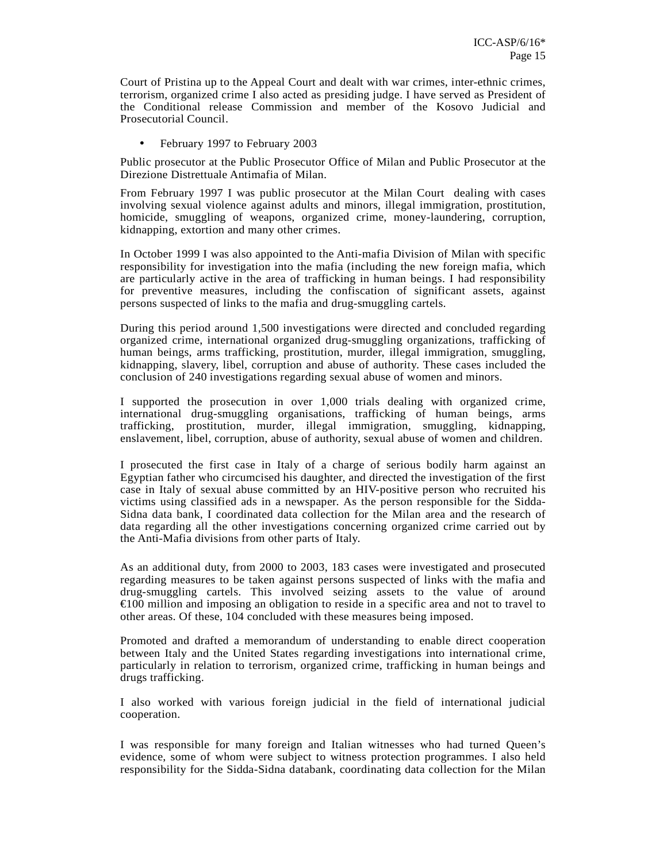Court of Pristina up to the Appeal Court and dealt with war crimes, inter-ethnic crimes, terrorism, organized crime I also acted as presiding judge. I have served as President of the Conditional release Commission and member of the Kosovo Judicial and Prosecutorial Council.

• February 1997 to February 2003

Public prosecutor at the Public Prosecutor Office of Milan and Public Prosecutor at the Direzione Distrettuale Antimafia of Milan.

From February 1997 I was public prosecutor at the Milan Court dealing with cases involving sexual violence against adults and minors, illegal immigration, prostitution, homicide, smuggling of weapons, organized crime, money-laundering, corruption, kidnapping, extortion and many other crimes.

In October 1999 I was also appointed to the Anti-mafia Division of Milan with specific responsibility for investigation into the mafia (including the new foreign mafia, which are particularly active in the area of trafficking in human beings. I had responsibility for preventive measures, including the confiscation of significant assets, against persons suspected of links to the mafia and drug-smuggling cartels.

During this period around 1,500 investigations were directed and concluded regarding organized crime, international organized drug-smuggling organizations, trafficking of human beings, arms trafficking, prostitution, murder, illegal immigration, smuggling, kidnapping, slavery, libel, corruption and abuse of authority. These cases included the conclusion of 240 investigations regarding sexual abuse of women and minors.

I supported the prosecution in over 1,000 trials dealing with organized crime, international drug-smuggling organisations, trafficking of human beings, arms trafficking, prostitution, murder, illegal immigration, smuggling, kidnapping, enslavement, libel, corruption, abuse of authority, sexual abuse of women and children.

I prosecuted the first case in Italy of a charge of serious bodily harm against an Egyptian father who circumcised his daughter, and directed the investigation of the first case in Italy of sexual abuse committed by an HIV-positive person who recruited his victims using classified ads in a newspaper. As the person responsible for the Sidda-Sidna data bank, I coordinated data collection for the Milan area and the research of data regarding all the other investigations concerning organized crime carried out by the Anti-Mafia divisions from other parts of Italy.

As an additional duty, from 2000 to 2003, 183 cases were investigated and prosecuted regarding measures to be taken against persons suspected of links with the mafia and drug-smuggling cartels. This involved seizing assets to the value of around €100 million and imposing an obligation to reside in a specific area and not to travel to other areas. Of these, 104 concluded with these measures being imposed.

Promoted and drafted a memorandum of understanding to enable direct cooperation between Italy and the United States regarding investigations into international crime, particularly in relation to terrorism, organized crime, trafficking in human beings and drugs trafficking.

I also worked with various foreign judicial in the field of international judicial cooperation.

I was responsible for many foreign and Italian witnesses who had turned Queen's evidence, some of whom were subject to witness protection programmes. I also held responsibility for the Sidda-Sidna databank, coordinating data collection for the Milan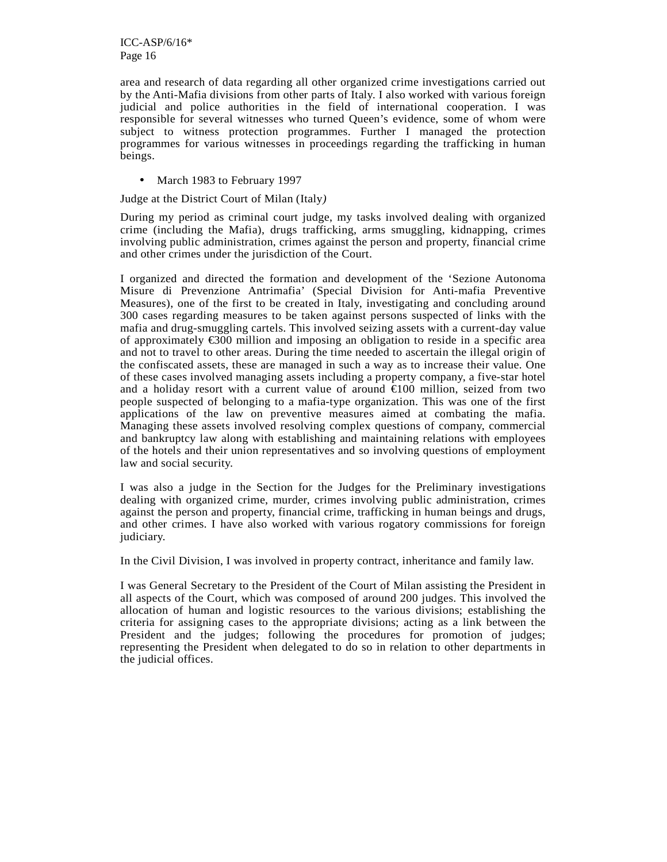area and research of data regarding all other organized crime investigations carried out by the Anti-Mafia divisions from other parts of Italy. I also worked with various foreign judicial and police authorities in the field of international cooperation. I was responsible for several witnesses who turned Queen's evidence, some of whom were subject to witness protection programmes. Further I managed the protection programmes for various witnesses in proceedings regarding the trafficking in human beings.

• March 1983 to February 1997

Judge at the District Court of Milan (Italy*)* 

During my period as criminal court judge, my tasks involved dealing with organized crime (including the Mafia), drugs trafficking, arms smuggling, kidnapping, crimes involving public administration, crimes against the person and property, financial crime and other crimes under the jurisdiction of the Court.

I organized and directed the formation and development of the 'Sezione Autonoma Misure di Prevenzione Antrimafia' (Special Division for Anti-mafia Preventive Measures), one of the first to be created in Italy, investigating and concluding around 300 cases regarding measures to be taken against persons suspected of links with the mafia and drug-smuggling cartels. This involved seizing assets with a current-day value of approximately €300 million and imposing an obligation to reside in a specific area and not to travel to other areas. During the time needed to ascertain the illegal origin of the confiscated assets, these are managed in such a way as to increase their value. One of these cases involved managing assets including a property company, a five-star hotel and a holiday resort with a current value of around €100 million, seized from two people suspected of belonging to a mafia-type organization. This was one of the first applications of the law on preventive measures aimed at combating the mafia. Managing these assets involved resolving complex questions of company, commercial and bankruptcy law along with establishing and maintaining relations with employees of the hotels and their union representatives and so involving questions of employment law and social security.

I was also a judge in the Section for the Judges for the Preliminary investigations dealing with organized crime, murder, crimes involving public administration, crimes against the person and property, financial crime, trafficking in human beings and drugs, and other crimes. I have also worked with various rogatory commissions for foreign judiciary.

In the Civil Division, I was involved in property contract, inheritance and family law.

I was General Secretary to the President of the Court of Milan assisting the President in all aspects of the Court, which was composed of around 200 judges. This involved the allocation of human and logistic resources to the various divisions; establishing the criteria for assigning cases to the appropriate divisions; acting as a link between the President and the judges; following the procedures for promotion of judges; representing the President when delegated to do so in relation to other departments in the judicial offices.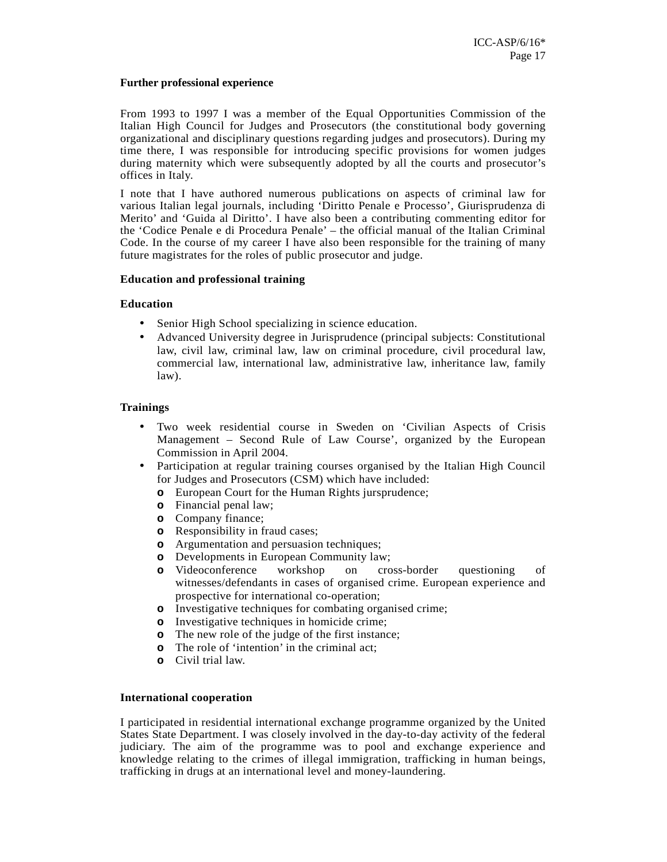#### **Further professional experience**

From 1993 to 1997 I was a member of the Equal Opportunities Commission of the Italian High Council for Judges and Prosecutors (the constitutional body governing organizational and disciplinary questions regarding judges and prosecutors). During my time there, I was responsible for introducing specific provisions for women judges during maternity which were subsequently adopted by all the courts and prosecutor's offices in Italy.

I note that I have authored numerous publications on aspects of criminal law for various Italian legal journals, including 'Diritto Penale e Processo', Giurisprudenza di Merito' and 'Guida al Diritto'. I have also been a contributing commenting editor for the 'Codice Penale e di Procedura Penale' – the official manual of the Italian Criminal Code. In the course of my career I have also been responsible for the training of many future magistrates for the roles of public prosecutor and judge.

#### **Education and professional training**

#### **Education**

- Senior High School specializing in science education.
- Advanced University degree in Jurisprudence (principal subjects: Constitutional law, civil law, criminal law, law on criminal procedure, civil procedural law, commercial law, international law, administrative law, inheritance law, family law).

#### **Trainings**

- Two week residential course in Sweden on 'Civilian Aspects of Crisis Management – Second Rule of Law Course', organized by the European Commission in April 2004.
- Participation at regular training courses organised by the Italian High Council for Judges and Prosecutors (CSM) which have included:
	- **o** European Court for the Human Rights jursprudence;
	- **o** Financial penal law;
	- **o** Company finance;
	- **o** Responsibility in fraud cases;
	- **o** Argumentation and persuasion techniques;
	-
	- **o** Developments in European Community law;<br> **o** Videoconference workshop on cross-border **o** Videoconference workshop on cross-border questioning of witnesses/defendants in cases of organised crime. European experience and prospective for international co-operation;
	- **o** Investigative techniques for combating organised crime;
	- **o** Investigative techniques in homicide crime;
	- **o** The new role of the judge of the first instance;
	- **o** The role of 'intention' in the criminal act;
	- **o** Civil trial law.

#### **International cooperation**

I participated in residential international exchange programme organized by the United States State Department. I was closely involved in the day-to-day activity of the federal judiciary. The aim of the programme was to pool and exchange experience and knowledge relating to the crimes of illegal immigration, trafficking in human beings, trafficking in drugs at an international level and money-laundering.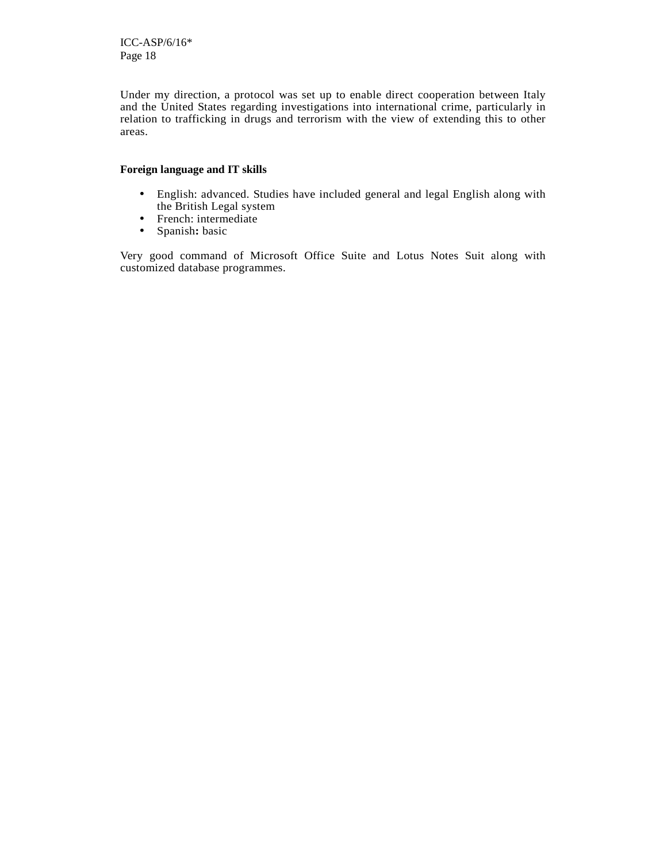Under my direction, a protocol was set up to enable direct cooperation between Italy and the United States regarding investigations into international crime, particularly in relation to trafficking in drugs and terrorism with the view of extending this to other areas.

### **Foreign language and IT skills**

- English: advanced. Studies have included general and legal English along with the British Legal system
- French: intermediate
- Spanish**:** basic

Very good command of Microsoft Office Suite and Lotus Notes Suit along with customized database programmes.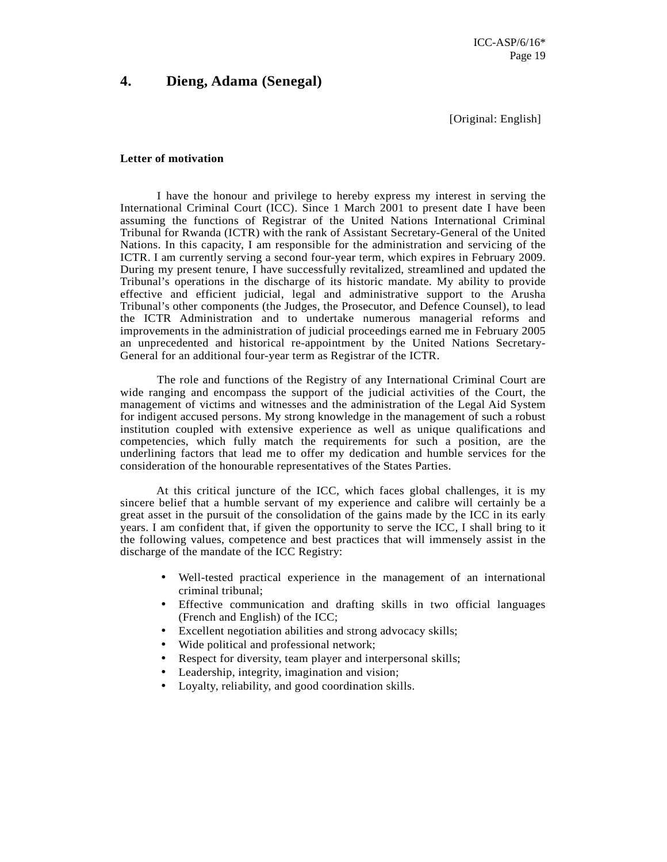### **4. Dieng, Adama (Senegal)**

[Original: English]

#### **Letter of motivation**

I have the honour and privilege to hereby express my interest in serving the International Criminal Court (ICC). Since 1 March 2001 to present date I have been assuming the functions of Registrar of the United Nations International Criminal Tribunal for Rwanda (ICTR) with the rank of Assistant Secretary-General of the United Nations. In this capacity, I am responsible for the administration and servicing of the ICTR. I am currently serving a second four-year term, which expires in February 2009. During my present tenure, I have successfully revitalized, streamlined and updated the Tribunal's operations in the discharge of its historic mandate. My ability to provide effective and efficient judicial, legal and administrative support to the Arusha Tribunal's other components (the Judges, the Prosecutor, and Defence Counsel), to lead the ICTR Administration and to undertake numerous managerial reforms and improvements in the administration of judicial proceedings earned me in February 2005 an unprecedented and historical re-appointment by the United Nations Secretary-General for an additional four-year term as Registrar of the ICTR.

The role and functions of the Registry of any International Criminal Court are wide ranging and encompass the support of the judicial activities of the Court, the management of victims and witnesses and the administration of the Legal Aid System for indigent accused persons. My strong knowledge in the management of such a robust institution coupled with extensive experience as well as unique qualifications and competencies, which fully match the requirements for such a position, are the underlining factors that lead me to offer my dedication and humble services for the consideration of the honourable representatives of the States Parties.

 At this critical juncture of the ICC, which faces global challenges, it is my sincere belief that a humble servant of my experience and calibre will certainly be a great asset in the pursuit of the consolidation of the gains made by the ICC in its early years. I am confident that, if given the opportunity to serve the ICC, I shall bring to it the following values, competence and best practices that will immensely assist in the discharge of the mandate of the ICC Registry:

- Well-tested practical experience in the management of an international criminal tribunal;
- Effective communication and drafting skills in two official languages (French and English) of the ICC;
- Excellent negotiation abilities and strong advocacy skills;
- Wide political and professional network;
- Respect for diversity, team player and interpersonal skills;
- Leadership, integrity, imagination and vision;
- Loyalty, reliability, and good coordination skills.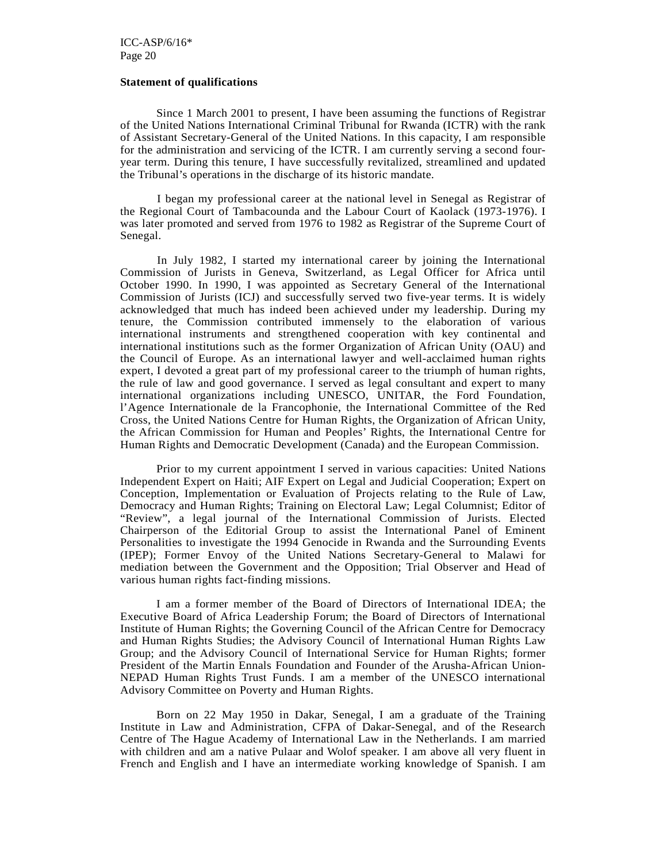#### **Statement of qualifications**

Since 1 March 2001 to present, I have been assuming the functions of Registrar of the United Nations International Criminal Tribunal for Rwanda (ICTR) with the rank of Assistant Secretary-General of the United Nations. In this capacity, I am responsible for the administration and servicing of the ICTR. I am currently serving a second fouryear term. During this tenure, I have successfully revitalized, streamlined and updated the Tribunal's operations in the discharge of its historic mandate.

I began my professional career at the national level in Senegal as Registrar of the Regional Court of Tambacounda and the Labour Court of Kaolack (1973-1976). I was later promoted and served from 1976 to 1982 as Registrar of the Supreme Court of Senegal.

In July 1982, I started my international career by joining the International Commission of Jurists in Geneva, Switzerland, as Legal Officer for Africa until October 1990. In 1990, I was appointed as Secretary General of the International Commission of Jurists (ICJ) and successfully served two five-year terms. It is widely acknowledged that much has indeed been achieved under my leadership. During my tenure, the Commission contributed immensely to the elaboration of various international instruments and strengthened cooperation with key continental and international institutions such as the former Organization of African Unity (OAU) and the Council of Europe. As an international lawyer and well-acclaimed human rights expert, I devoted a great part of my professional career to the triumph of human rights, the rule of law and good governance. I served as legal consultant and expert to many international organizations including UNESCO, UNITAR, the Ford Foundation, l'Agence Internationale de la Francophonie, the International Committee of the Red Cross, the United Nations Centre for Human Rights, the Organization of African Unity, the African Commission for Human and Peoples' Rights, the International Centre for Human Rights and Democratic Development (Canada) and the European Commission.

 Prior to my current appointment I served in various capacities: United Nations Independent Expert on Haiti; AIF Expert on Legal and Judicial Cooperation; Expert on Conception, Implementation or Evaluation of Projects relating to the Rule of Law, Democracy and Human Rights; Training on Electoral Law; Legal Columnist; Editor of "Review", a legal journal of the International Commission of Jurists. Elected Chairperson of the Editorial Group to assist the International Panel of Eminent Personalities to investigate the 1994 Genocide in Rwanda and the Surrounding Events (IPEP); Former Envoy of the United Nations Secretary-General to Malawi for mediation between the Government and the Opposition; Trial Observer and Head of various human rights fact-finding missions.

 I am a former member of the Board of Directors of International IDEA; the Executive Board of Africa Leadership Forum; the Board of Directors of International Institute of Human Rights; the Governing Council of the African Centre for Democracy and Human Rights Studies; the Advisory Council of International Human Rights Law Group; and the Advisory Council of International Service for Human Rights; former President of the Martin Ennals Foundation and Founder of the Arusha-African Union-NEPAD Human Rights Trust Funds. I am a member of the UNESCO international Advisory Committee on Poverty and Human Rights.

 Born on 22 May 1950 in Dakar, Senegal, I am a graduate of the Training Institute in Law and Administration, CFPA of Dakar-Senegal, and of the Research Centre of The Hague Academy of International Law in the Netherlands. I am married with children and am a native Pulaar and Wolof speaker. I am above all very fluent in French and English and I have an intermediate working knowledge of Spanish. I am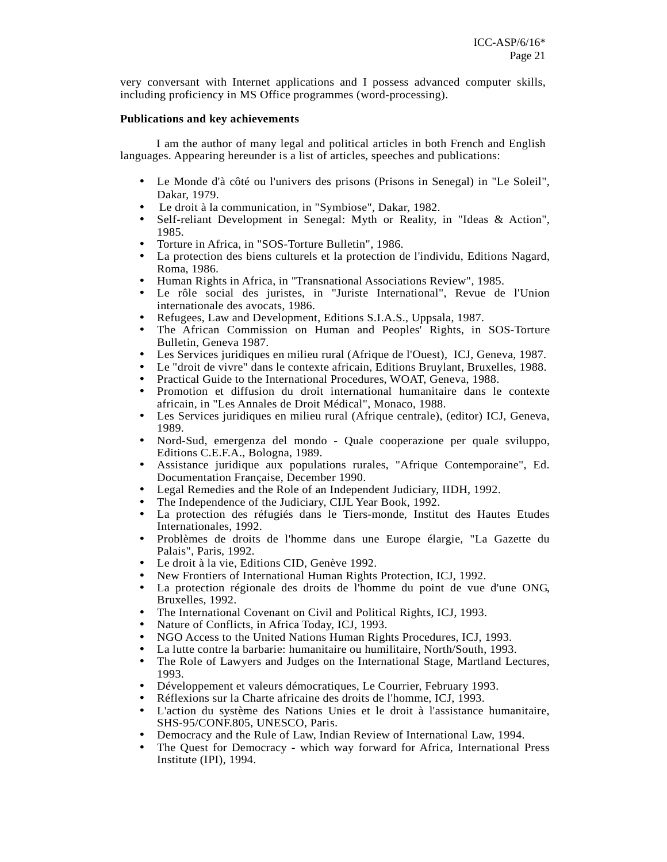very conversant with Internet applications and I possess advanced computer skills, including proficiency in MS Office programmes (word-processing).

#### **Publications and key achievements**

I am the author of many legal and political articles in both French and English languages. Appearing hereunder is a list of articles, speeches and publications:

- Le Monde d'à côté ou l'univers des prisons (Prisons in Senegal) in "Le Soleil", Dakar, 1979.
- Le droit à la communication, in "Symbiose", Dakar, 1982.
- Self-reliant Development in Senegal: Myth or Reality, in "Ideas & Action", 1985.
- Torture in Africa, in "SOS-Torture Bulletin", 1986.
- La protection des biens culturels et la protection de l'individu, Editions Nagard, Roma, 1986.
- Human Rights in Africa, in "Transnational Associations Review", 1985.
- Le rôle social des juristes, in "Juriste International", Revue de l'Union internationale des avocats, 1986.
- Refugees, Law and Development, Editions S.I.A.S., Uppsala, 1987.
- The African Commission on Human and Peoples' Rights, in SOS-Torture Bulletin, Geneva 1987.
- Les Services juridiques en milieu rural (Afrique de l'Ouest), ICJ, Geneva, 1987.
- Le "droit de vivre" dans le contexte africain, Editions Bruylant, Bruxelles, 1988.
- Practical Guide to the International Procedures, WOAT, Geneva, 1988.
- Promotion et diffusion du droit international humanitaire dans le contexte africain, in "Les Annales de Droit Médical", Monaco, 1988.
- Les Services juridiques en milieu rural (Afrique centrale), (editor) ICJ, Geneva, 1989.
- Nord-Sud, emergenza del mondo Quale cooperazione per quale sviluppo, Editions C.E.F.A., Bologna, 1989.
- Assistance juridique aux populations rurales, "Afrique Contemporaine", Ed. Documentation Française, December 1990.
- Legal Remedies and the Role of an Independent Judiciary, IIDH, 1992.
- The Independence of the Judiciary, CIJL Year Book, 1992.
- La protection des réfugiés dans le Tiers-monde, Institut des Hautes Etudes Internationales, 1992.
- Problèmes de droits de l'homme dans une Europe élargie, "La Gazette du Palais", Paris, 1992.
- Le droit à la vie, Editions CID, Genève 1992.
- New Frontiers of International Human Rights Protection, ICJ, 1992.
- La protection régionale des droits de l'homme du point de vue d'une ONG, Bruxelles, 1992.
- The International Covenant on Civil and Political Rights, ICJ, 1993.
- Nature of Conflicts, in Africa Today, ICJ, 1993.
- NGO Access to the United Nations Human Rights Procedures, ICJ, 1993.
- La lutte contre la barbarie: humanitaire ou humilitaire, North/South, 1993.
- The Role of Lawyers and Judges on the International Stage, Martland Lectures, 1993.
- Développement et valeurs démocratiques, Le Courrier, February 1993.
- Réflexions sur la Charte africaine des droits de l'homme, ICJ, 1993.
- L'action du système des Nations Unies et le droit à l'assistance humanitaire, SHS-95/CONF.805, UNESCO, Paris.
- Democracy and the Rule of Law, Indian Review of International Law, 1994.
- The Quest for Democracy which way forward for Africa, International Press Institute (IPI), 1994.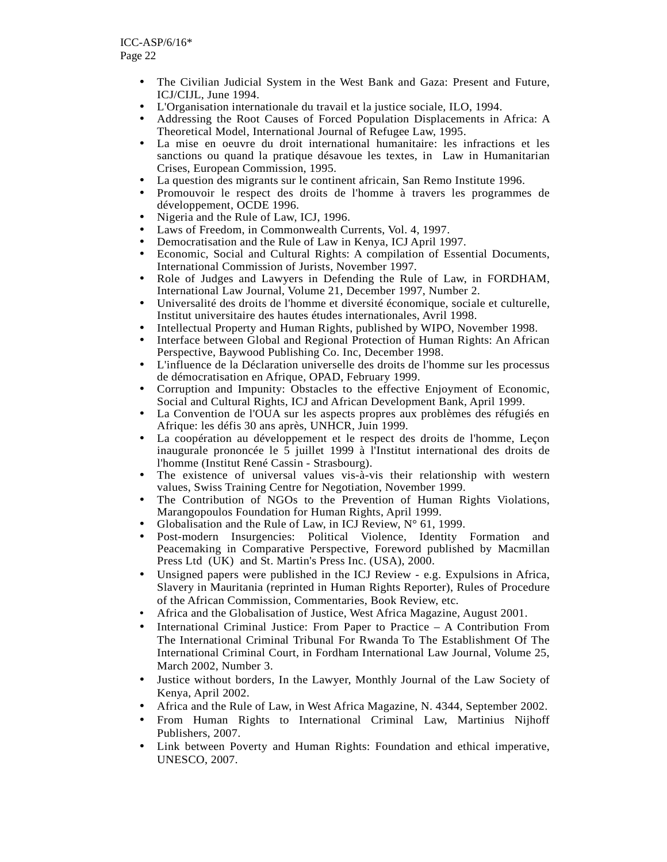- The Civilian Judicial System in the West Bank and Gaza: Present and Future, ICJ/CIJL, June 1994.
- L'Organisation internationale du travail et la justice sociale, ILO, 1994.
- Addressing the Root Causes of Forced Population Displacements in Africa: A Theoretical Model, International Journal of Refugee Law, 1995.
- La mise en oeuvre du droit international humanitaire: les infractions et les sanctions ou quand la pratique désavoue les textes, in Law in Humanitarian Crises, European Commission, 1995.
- La question des migrants sur le continent africain, San Remo Institute 1996.
- Promouvoir le respect des droits de l'homme à travers les programmes de développement, OCDE 1996.
- Nigeria and the Rule of Law, ICJ, 1996.
- Laws of Freedom, in Commonwealth Currents, Vol. 4, 1997.
- Democratisation and the Rule of Law in Kenya, ICJ April 1997.
- Economic, Social and Cultural Rights: A compilation of Essential Documents, International Commission of Jurists, November 1997.
- Role of Judges and Lawyers in Defending the Rule of Law, in FORDHAM, International Law Journal, Volume 21, December 1997, Number 2.
- Universalité des droits de l'homme et diversité économique, sociale et culturelle, Institut universitaire des hautes études internationales, Avril 1998.
- Intellectual Property and Human Rights, published by WIPO, November 1998.
- Interface between Global and Regional Protection of Human Rights: An African Perspective, Baywood Publishing Co. Inc, December 1998.
- L'influence de la Déclaration universelle des droits de l'homme sur les processus de démocratisation en Afrique, OPAD, February 1999.
- Corruption and Impunity: Obstacles to the effective Enjoyment of Economic, Social and Cultural Rights, ICJ and African Development Bank, April 1999.
- La Convention de l'OUA sur les aspects propres aux problèmes des réfugiés en Afrique: les défis 30 ans après, UNHCR, Juin 1999.
- La coopération au développement et le respect des droits de l'homme, Leçon inaugurale prononcée le 5 juillet 1999 à l'Institut international des droits de l'homme (Institut René Cassin - Strasbourg).
- The existence of universal values vis-à-vis their relationship with western values, Swiss Training Centre for Negotiation, November 1999.
- The Contribution of NGOs to the Prevention of Human Rights Violations, Marangopoulos Foundation for Human Rights, April 1999.
- Globalisation and the Rule of Law, in ICJ Review, N° 61, 1999.
- Post-modern Insurgencies: Political Violence, Identity Formation and Peacemaking in Comparative Perspective, Foreword published by Macmillan Press Ltd (UK) and St. Martin's Press Inc. (USA), 2000.
- Unsigned papers were published in the ICJ Review e.g. Expulsions in Africa, Slavery in Mauritania (reprinted in Human Rights Reporter), Rules of Procedure of the African Commission, Commentaries, Book Review, etc.
- Africa and the Globalisation of Justice, West Africa Magazine, August 2001.
- International Criminal Justice: From Paper to Practice A Contribution From The International Criminal Tribunal For Rwanda To The Establishment Of The International Criminal Court, in Fordham International Law Journal, Volume 25, March 2002, Number 3.
- Justice without borders, In the Lawyer, Monthly Journal of the Law Society of Kenya, April 2002.
- Africa and the Rule of Law, in West Africa Magazine, N. 4344, September 2002.
- From Human Rights to International Criminal Law, Martinius Nijhoff Publishers, 2007.
- Link between Poverty and Human Rights: Foundation and ethical imperative, UNESCO, 2007.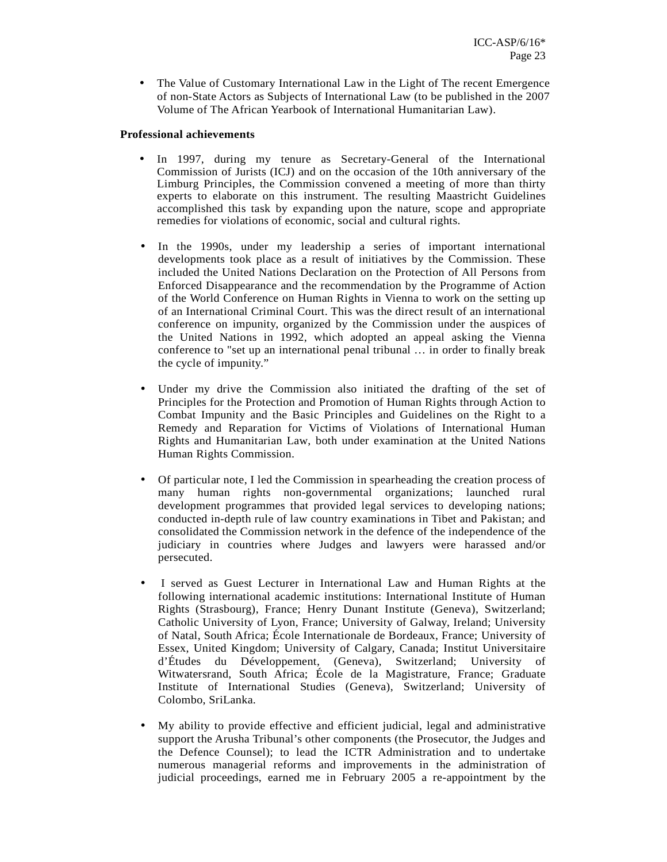• The Value of Customary International Law in the Light of The recent Emergence of non-State Actors as Subjects of International Law (to be published in the 2007 Volume of The African Yearbook of International Humanitarian Law).

#### **Professional achievements**

- In 1997, during my tenure as Secretary-General of the International Commission of Jurists (ICJ) and on the occasion of the 10th anniversary of the Limburg Principles, the Commission convened a meeting of more than thirty experts to elaborate on this instrument. The resulting Maastricht Guidelines accomplished this task by expanding upon the nature, scope and appropriate remedies for violations of economic, social and cultural rights.
- In the 1990s, under my leadership a series of important international developments took place as a result of initiatives by the Commission. These included the United Nations Declaration on the Protection of All Persons from Enforced Disappearance and the recommendation by the Programme of Action of the World Conference on Human Rights in Vienna to work on the setting up of an International Criminal Court. This was the direct result of an international conference on impunity, organized by the Commission under the auspices of the United Nations in 1992, which adopted an appeal asking the Vienna conference to "set up an international penal tribunal … in order to finally break the cycle of impunity."
- Under my drive the Commission also initiated the drafting of the set of Principles for the Protection and Promotion of Human Rights through Action to Combat Impunity and the Basic Principles and Guidelines on the Right to a Remedy and Reparation for Victims of Violations of International Human Rights and Humanitarian Law, both under examination at the United Nations Human Rights Commission.
- Of particular note, I led the Commission in spearheading the creation process of many human rights non-governmental organizations; launched rural development programmes that provided legal services to developing nations; conducted in-depth rule of law country examinations in Tibet and Pakistan; and consolidated the Commission network in the defence of the independence of the judiciary in countries where Judges and lawyers were harassed and/or persecuted.
- I served as Guest Lecturer in International Law and Human Rights at the following international academic institutions: International Institute of Human Rights (Strasbourg), France; Henry Dunant Institute (Geneva), Switzerland; Catholic University of Lyon, France; University of Galway, Ireland; University of Natal, South Africa; École Internationale de Bordeaux, France; University of Essex, United Kingdom; University of Calgary, Canada; Institut Universitaire d'Études du Développement, (Geneva), Switzerland; University of Witwatersrand, South Africa; École de la Magistrature, France; Graduate Institute of International Studies (Geneva), Switzerland; University of Colombo, SriLanka.
- My ability to provide effective and efficient judicial, legal and administrative support the Arusha Tribunal's other components (the Prosecutor, the Judges and the Defence Counsel); to lead the ICTR Administration and to undertake numerous managerial reforms and improvements in the administration of judicial proceedings, earned me in February 2005 a re-appointment by the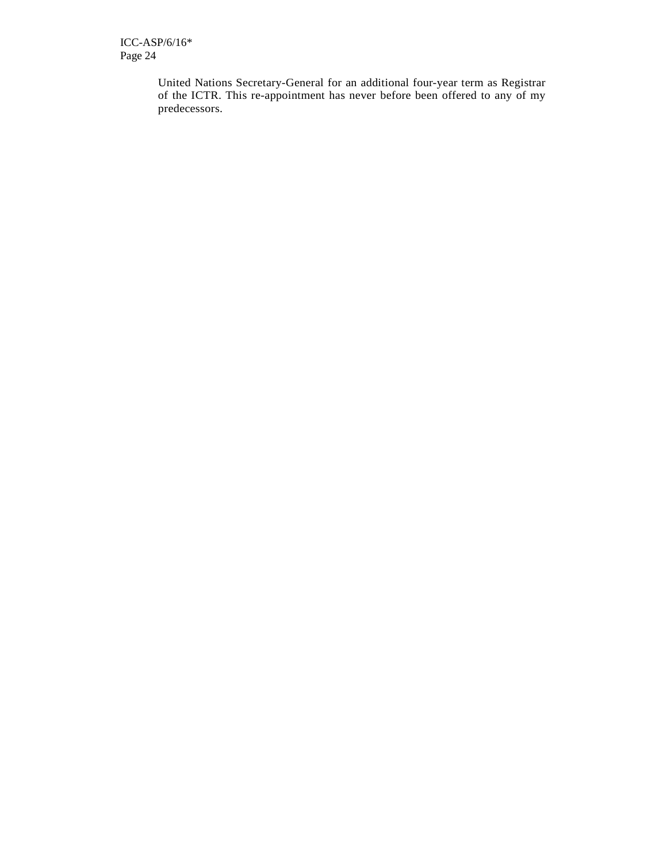United Nations Secretary-General for an additional four-year term as Registrar of the ICTR. This re-appointment has never before been offered to any of my predecessors.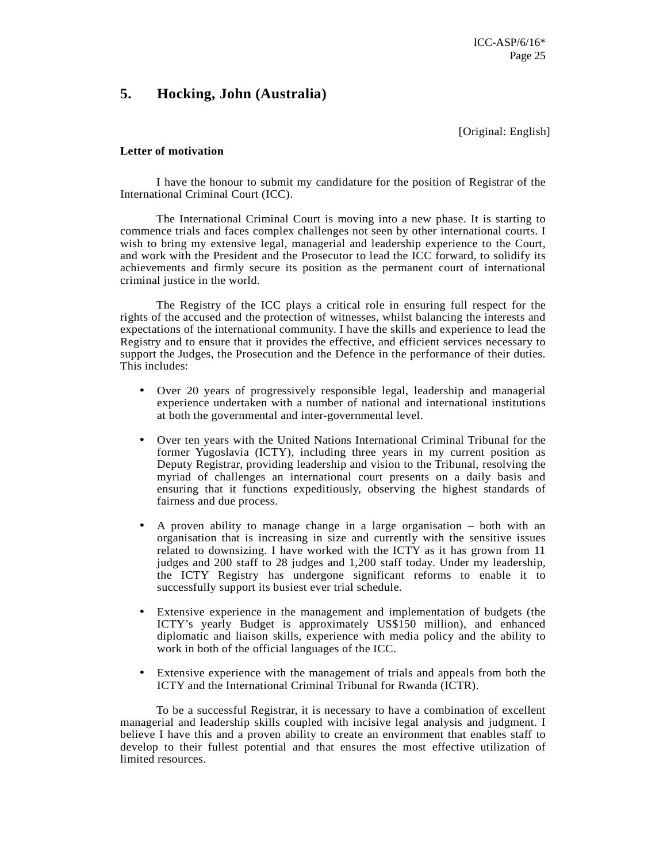### **5. Hocking, John (Australia)**

[Original: English]

#### **Letter of motivation**

I have the honour to submit my candidature for the position of Registrar of the International Criminal Court (ICC).

The International Criminal Court is moving into a new phase. It is starting to commence trials and faces complex challenges not seen by other international courts. I wish to bring my extensive legal, managerial and leadership experience to the Court, and work with the President and the Prosecutor to lead the ICC forward, to solidify its achievements and firmly secure its position as the permanent court of international criminal justice in the world.

The Registry of the ICC plays a critical role in ensuring full respect for the rights of the accused and the protection of witnesses, whilst balancing the interests and expectations of the international community. I have the skills and experience to lead the Registry and to ensure that it provides the effective, and efficient services necessary to support the Judges, the Prosecution and the Defence in the performance of their duties. This includes:

- Over 20 years of progressively responsible legal, leadership and managerial experience undertaken with a number of national and international institutions at both the governmental and inter-governmental level.
- Over ten years with the United Nations International Criminal Tribunal for the former Yugoslavia (ICTY), including three years in my current position as Deputy Registrar, providing leadership and vision to the Tribunal, resolving the myriad of challenges an international court presents on a daily basis and ensuring that it functions expeditiously, observing the highest standards of fairness and due process.
- A proven ability to manage change in a large organisation both with an organisation that is increasing in size and currently with the sensitive issues related to downsizing. I have worked with the ICTY as it has grown from 11 judges and 200 staff to 28 judges and 1,200 staff today. Under my leadership, the ICTY Registry has undergone significant reforms to enable it to successfully support its busiest ever trial schedule.
- Extensive experience in the management and implementation of budgets (the ICTY's yearly Budget is approximately US\$150 million), and enhanced diplomatic and liaison skills, experience with media policy and the ability to work in both of the official languages of the ICC.
- Extensive experience with the management of trials and appeals from both the ICTY and the International Criminal Tribunal for Rwanda (ICTR).

To be a successful Registrar, it is necessary to have a combination of excellent managerial and leadership skills coupled with incisive legal analysis and judgment. I believe I have this and a proven ability to create an environment that enables staff to develop to their fullest potential and that ensures the most effective utilization of limited resources.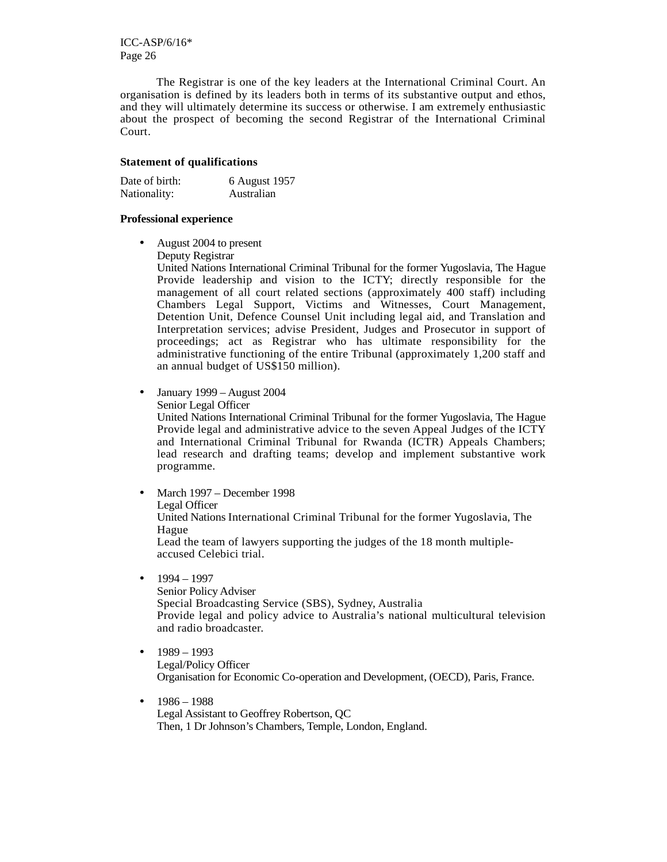The Registrar is one of the key leaders at the International Criminal Court. An organisation is defined by its leaders both in terms of its substantive output and ethos, and they will ultimately determine its success or otherwise. I am extremely enthusiastic about the prospect of becoming the second Registrar of the International Criminal Court.

#### **Statement of qualifications**

| Date of birth: | 6 August 1957 |
|----------------|---------------|
| Nationality:   | Australian    |

#### **Professional experience**

- August 2004 to present
	- Deputy Registrar

United Nations International Criminal Tribunal for the former Yugoslavia, The Hague Provide leadership and vision to the ICTY; directly responsible for the management of all court related sections (approximately 400 staff) including Chambers Legal Support, Victims and Witnesses, Court Management, Detention Unit, Defence Counsel Unit including legal aid, and Translation and Interpretation services; advise President, Judges and Prosecutor in support of proceedings; act as Registrar who has ultimate responsibility for the administrative functioning of the entire Tribunal (approximately 1,200 staff and an annual budget of US\$150 million).

- January 1999 August 2004
	- Senior Legal Officer

United Nations International Criminal Tribunal for the former Yugoslavia, The Hague Provide legal and administrative advice to the seven Appeal Judges of the ICTY and International Criminal Tribunal for Rwanda (ICTR) Appeals Chambers; lead research and drafting teams; develop and implement substantive work programme.

- March 1997 December 1998 Legal Officer United Nations International Criminal Tribunal for the former Yugoslavia, The Hague Lead the team of lawyers supporting the judges of the 18 month multipleaccused Celebici trial.
- $-1994 1997$

Senior Policy Adviser Special Broadcasting Service (SBS), Sydney, Australia Provide legal and policy advice to Australia's national multicultural television and radio broadcaster.

- $-1989 1993$ Legal/Policy Officer Organisation for Economic Co-operation and Development, (OECD), Paris, France.
- 1986 1988 Legal Assistant to Geoffrey Robertson, QC Then, 1 Dr Johnson's Chambers, Temple, London, England.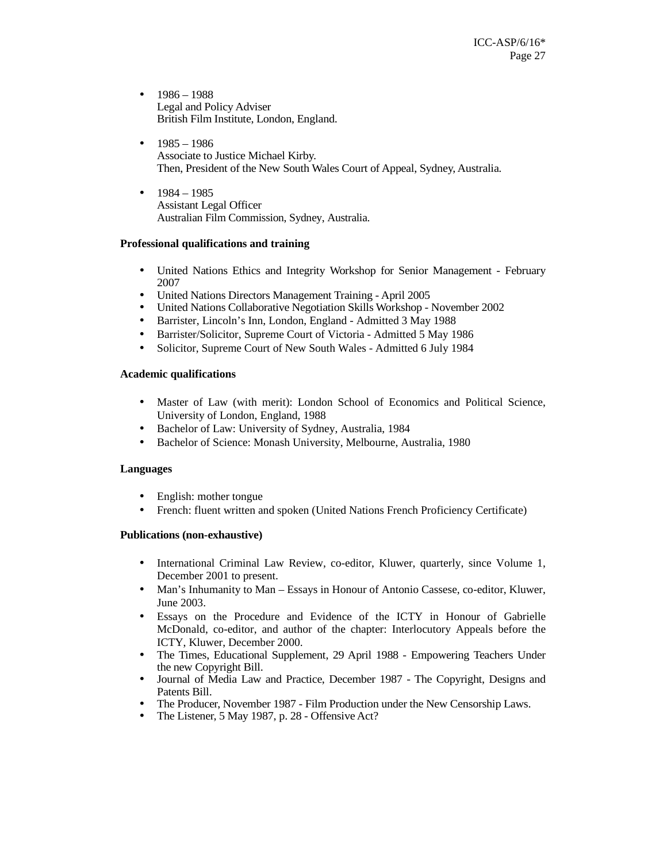- $-1986 1988$ Legal and Policy Adviser British Film Institute, London, England.
- $1985 1986$ Associate to Justice Michael Kirby. Then, President of the New South Wales Court of Appeal, Sydney, Australia.
- $1984 1985$ Assistant Legal Officer Australian Film Commission, Sydney, Australia.

#### **Professional qualifications and training**

- United Nations Ethics and Integrity Workshop for Senior Management February 2007
- United Nations Directors Management Training April 2005
- United Nations Collaborative Negotiation Skills Workshop November 2002
- Barrister, Lincoln's Inn, London, England Admitted 3 May 1988
- Barrister/Solicitor, Supreme Court of Victoria Admitted 5 May 1986
- Solicitor, Supreme Court of New South Wales Admitted 6 July 1984

### **Academic qualifications**

- Master of Law (with merit): London School of Economics and Political Science, University of London, England, 1988
- Bachelor of Law: University of Sydney, Australia, 1984
- Bachelor of Science: Monash University, Melbourne, Australia, 1980

#### **Languages**

- English: mother tongue
- French: fluent written and spoken (United Nations French Proficiency Certificate)

#### **Publications (non-exhaustive)**

- International Criminal Law Review, co-editor, Kluwer, quarterly, since Volume 1, December 2001 to present.
- Man's Inhumanity to Man Essays in Honour of Antonio Cassese, co-editor, Kluwer, June 2003.
- Essays on the Procedure and Evidence of the ICTY in Honour of Gabrielle McDonald, co-editor, and author of the chapter: Interlocutory Appeals before the ICTY, Kluwer, December 2000.
- The Times, Educational Supplement, 29 April 1988 Empowering Teachers Under the new Copyright Bill.
- Journal of Media Law and Practice, December 1987 The Copyright, Designs and Patents Bill.
- The Producer, November 1987 Film Production under the New Censorship Laws.
- The Listener, 5 May 1987, p. 28 Offensive Act?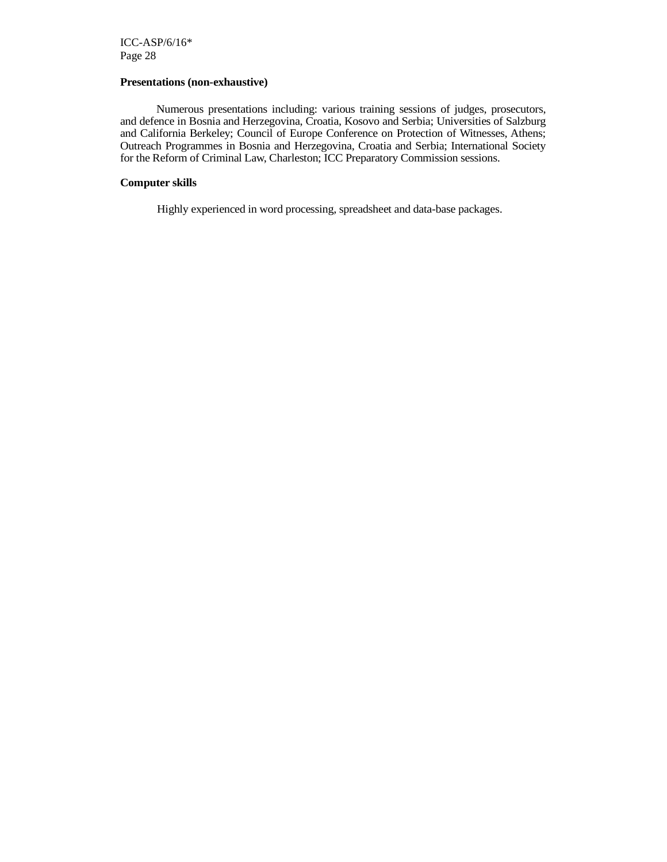#### **Presentations (non-exhaustive)**

 Numerous presentations including: various training sessions of judges, prosecutors, and defence in Bosnia and Herzegovina, Croatia, Kosovo and Serbia; Universities of Salzburg and California Berkeley; Council of Europe Conference on Protection of Witnesses, Athens; Outreach Programmes in Bosnia and Herzegovina, Croatia and Serbia; International Society for the Reform of Criminal Law, Charleston; ICC Preparatory Commission sessions.

#### **Computer skills**

Highly experienced in word processing, spreadsheet and data-base packages.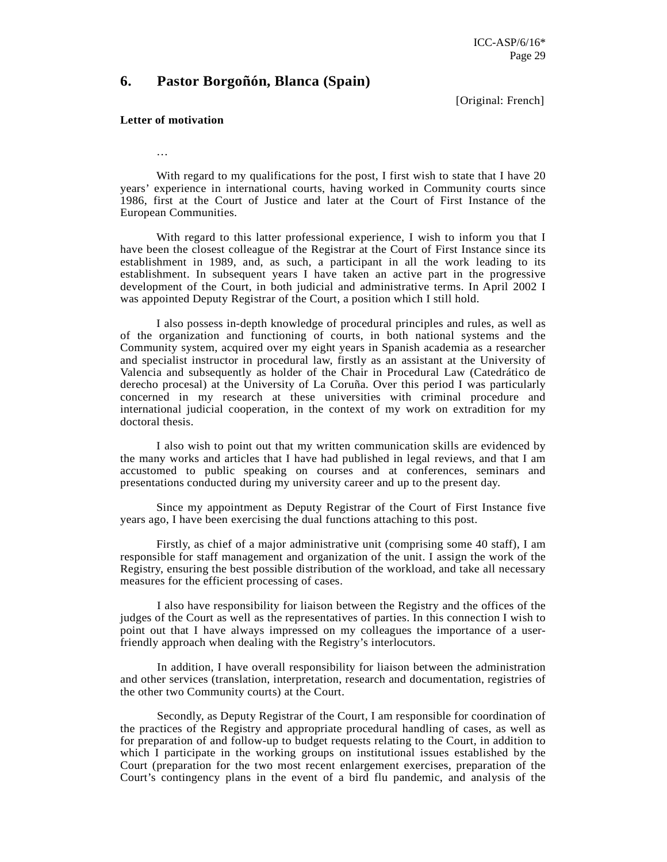### **6. Pastor Borgoñón, Blanca (Spain)**

[Original: French]

#### **Letter of motivation**

…

With regard to my qualifications for the post, I first wish to state that I have 20 years' experience in international courts, having worked in Community courts since 1986, first at the Court of Justice and later at the Court of First Instance of the European Communities.

With regard to this latter professional experience. I wish to inform you that I have been the closest colleague of the Registrar at the Court of First Instance since its establishment in 1989, and, as such, a participant in all the work leading to its establishment. In subsequent years I have taken an active part in the progressive development of the Court, in both judicial and administrative terms. In April 2002 I was appointed Deputy Registrar of the Court, a position which I still hold.

 I also possess in-depth knowledge of procedural principles and rules, as well as of the organization and functioning of courts, in both national systems and the Community system, acquired over my eight years in Spanish academia as a researcher and specialist instructor in procedural law, firstly as an assistant at the University of Valencia and subsequently as holder of the Chair in Procedural Law (Catedrático de derecho procesal) at the University of La Coruña. Over this period I was particularly concerned in my research at these universities with criminal procedure and international judicial cooperation, in the context of my work on extradition for my doctoral thesis.

 I also wish to point out that my written communication skills are evidenced by the many works and articles that I have had published in legal reviews, and that I am accustomed to public speaking on courses and at conferences, seminars and presentations conducted during my university career and up to the present day.

 Since my appointment as Deputy Registrar of the Court of First Instance five years ago, I have been exercising the dual functions attaching to this post.

 Firstly, as chief of a major administrative unit (comprising some 40 staff), I am responsible for staff management and organization of the unit. I assign the work of the Registry, ensuring the best possible distribution of the workload, and take all necessary measures for the efficient processing of cases.

I also have responsibility for liaison between the Registry and the offices of the judges of the Court as well as the representatives of parties. In this connection I wish to point out that I have always impressed on my colleagues the importance of a userfriendly approach when dealing with the Registry's interlocutors.

In addition, I have overall responsibility for liaison between the administration and other services (translation, interpretation, research and documentation, registries of the other two Community courts) at the Court.

Secondly, as Deputy Registrar of the Court, I am responsible for coordination of the practices of the Registry and appropriate procedural handling of cases, as well as for preparation of and follow-up to budget requests relating to the Court, in addition to which I participate in the working groups on institutional issues established by the Court (preparation for the two most recent enlargement exercises, preparation of the Court's contingency plans in the event of a bird flu pandemic, and analysis of the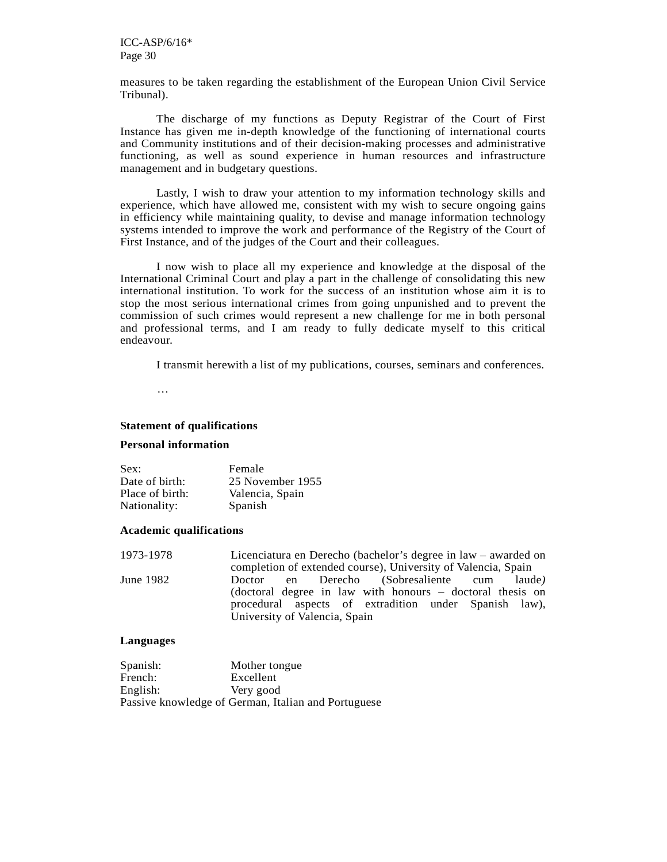measures to be taken regarding the establishment of the European Union Civil Service Tribunal).

 The discharge of my functions as Deputy Registrar of the Court of First Instance has given me in-depth knowledge of the functioning of international courts and Community institutions and of their decision-making processes and administrative functioning, as well as sound experience in human resources and infrastructure management and in budgetary questions.

 Lastly, I wish to draw your attention to my information technology skills and experience, which have allowed me, consistent with my wish to secure ongoing gains in efficiency while maintaining quality, to devise and manage information technology systems intended to improve the work and performance of the Registry of the Court of First Instance, and of the judges of the Court and their colleagues.

 I now wish to place all my experience and knowledge at the disposal of the International Criminal Court and play a part in the challenge of consolidating this new international institution. To work for the success of an institution whose aim it is to stop the most serious international crimes from going unpunished and to prevent the commission of such crimes would represent a new challenge for me in both personal and professional terms, and I am ready to fully dedicate myself to this critical endeavour.

I transmit herewith a list of my publications, courses, seminars and conferences.

…

#### **Statement of qualifications**

#### **Personal information**

| Sex:            | Female           |
|-----------------|------------------|
| Date of birth:  | 25 November 1955 |
| Place of birth: | Valencia, Spain  |
| Nationality:    | Spanish          |

#### **Academic qualifications**

| 1973-1978 | Licenciatura en Derecho (bachelor's degree in law – awarded on |  |  |
|-----------|----------------------------------------------------------------|--|--|
|           | completion of extended course), University of Valencia, Spain  |  |  |
| June 1982 | Doctor en Derecho (Sobresaliente cum laude)                    |  |  |
|           | (doctoral degree in law with honours – doctoral thesis on      |  |  |
|           | procedural aspects of extradition under Spanish law),          |  |  |
|           | University of Valencia, Spain                                  |  |  |

#### **Languages**

| Spanish: | Mother tongue                                       |
|----------|-----------------------------------------------------|
| French:  | Excellent                                           |
| English: | Very good                                           |
|          | Passive knowledge of German, Italian and Portuguese |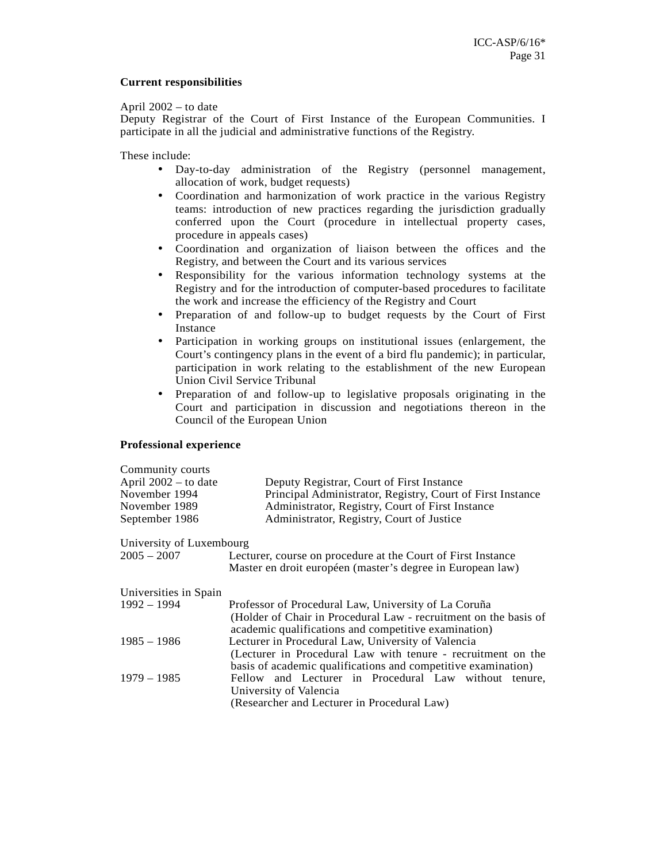#### **Current responsibilities**

#### April 2002 – to date

Deputy Registrar of the Court of First Instance of the European Communities. I participate in all the judicial and administrative functions of the Registry.

These include:

- Day-to-day administration of the Registry (personnel management, allocation of work, budget requests)
- Coordination and harmonization of work practice in the various Registry teams: introduction of new practices regarding the jurisdiction gradually conferred upon the Court (procedure in intellectual property cases, procedure in appeals cases)
- Coordination and organization of liaison between the offices and the Registry, and between the Court and its various services
- Responsibility for the various information technology systems at the Registry and for the introduction of computer-based procedures to facilitate the work and increase the efficiency of the Registry and Court
- Preparation of and follow-up to budget requests by the Court of First Instance
- Participation in working groups on institutional issues (enlargement, the Court's contingency plans in the event of a bird flu pandemic); in particular, participation in work relating to the establishment of the new European Union Civil Service Tribunal
- Preparation of and follow-up to legislative proposals originating in the Court and participation in discussion and negotiations thereon in the Council of the European Union

#### **Professional experience**

| Community courts<br>April $2002 -$ to date<br>November 1994<br>November 1989<br>September 1986 | Deputy Registrar, Court of First Instance<br>Principal Administrator, Registry, Court of First Instance<br>Administrator, Registry, Court of First Instance<br>Administrator, Registry, Court of Justice |  |
|------------------------------------------------------------------------------------------------|----------------------------------------------------------------------------------------------------------------------------------------------------------------------------------------------------------|--|
| University of Luxembourg                                                                       |                                                                                                                                                                                                          |  |
| 2005 – 2007                                                                                    | Lecturer, course on procedure at the Court of First Instance<br>Master en droit européen (master's degree in European law)                                                                               |  |
| Universities in Spain                                                                          |                                                                                                                                                                                                          |  |
| $1992 - 1994$                                                                                  | Professor of Procedural Law, University of La Coruña<br>(Holder of Chair in Procedural Law - recruitment on the basis of<br>academic qualifications and competitive examination)                         |  |
| $1985 - 1986$                                                                                  | Lecturer in Procedural Law, University of Valencia<br>(Lecturer in Procedural Law with tenure - recruitment on the<br>basis of academic qualifications and competitive examination)                      |  |
| $1979 - 1985$                                                                                  | Fellow and Lecturer in Procedural Law without tenure,<br>University of Valencia<br>(Researcher and Lecturer in Procedural Law)                                                                           |  |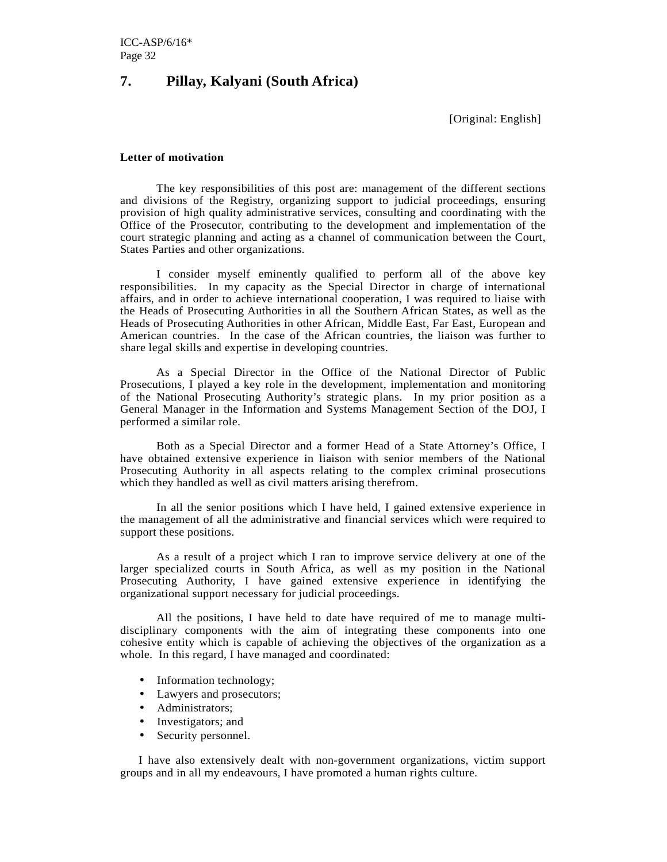### **7. Pillay, Kalyani (South Africa)**

[Original: English]

#### **Letter of motivation**

The key responsibilities of this post are: management of the different sections and divisions of the Registry, organizing support to judicial proceedings, ensuring provision of high quality administrative services, consulting and coordinating with the Office of the Prosecutor, contributing to the development and implementation of the court strategic planning and acting as a channel of communication between the Court, States Parties and other organizations.

I consider myself eminently qualified to perform all of the above key responsibilities. In my capacity as the Special Director in charge of international affairs, and in order to achieve international cooperation, I was required to liaise with the Heads of Prosecuting Authorities in all the Southern African States, as well as the Heads of Prosecuting Authorities in other African, Middle East, Far East, European and American countries. In the case of the African countries, the liaison was further to share legal skills and expertise in developing countries.

As a Special Director in the Office of the National Director of Public Prosecutions, I played a key role in the development, implementation and monitoring of the National Prosecuting Authority's strategic plans. In my prior position as a General Manager in the Information and Systems Management Section of the DOJ, I performed a similar role.

Both as a Special Director and a former Head of a State Attorney's Office, I have obtained extensive experience in liaison with senior members of the National Prosecuting Authority in all aspects relating to the complex criminal prosecutions which they handled as well as civil matters arising therefrom.

In all the senior positions which I have held, I gained extensive experience in the management of all the administrative and financial services which were required to support these positions.

As a result of a project which I ran to improve service delivery at one of the larger specialized courts in South Africa, as well as my position in the National Prosecuting Authority, I have gained extensive experience in identifying the organizational support necessary for judicial proceedings.

All the positions, I have held to date have required of me to manage multidisciplinary components with the aim of integrating these components into one cohesive entity which is capable of achieving the objectives of the organization as a whole. In this regard, I have managed and coordinated:

- Information technology;
- Lawyers and prosecutors;
- Administrators:
- Investigators; and
- Security personnel.

I have also extensively dealt with non-government organizations, victim support groups and in all my endeavours, I have promoted a human rights culture.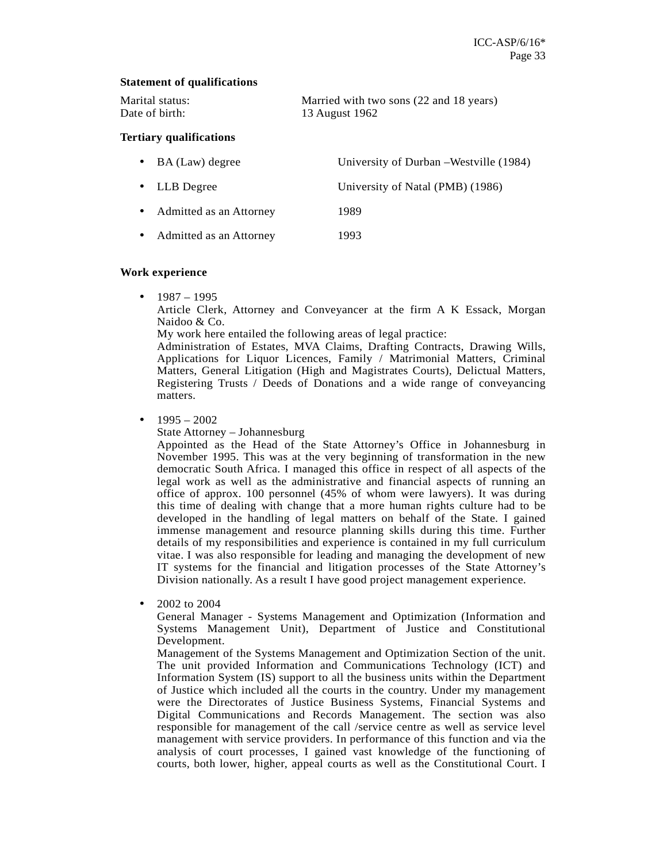#### **Statement of qualifications**

| Marital status: | Married with two sons (22 and 18 years) |
|-----------------|-----------------------------------------|
| Date of birth:  | 13 August 1962                          |

#### **Tertiary qualifications**

| $\bullet$ BA (Law) degree | University of Durban – Westville (1984) |
|---------------------------|-----------------------------------------|
| $\bullet$ LLB Degree      | University of Natal (PMB) (1986)        |
| • Admitted as an Attorney | 1989                                    |
| • Admitted as an Attorney | 1993                                    |

#### **Work experience**

•  $1987 - 1995$ 

Article Clerk, Attorney and Conveyancer at the firm A K Essack, Morgan Naidoo & Co.

My work here entailed the following areas of legal practice:

Administration of Estates, MVA Claims, Drafting Contracts, Drawing Wills, Applications for Liquor Licences, Family / Matrimonial Matters, Criminal Matters, General Litigation (High and Magistrates Courts), Delictual Matters, Registering Trusts / Deeds of Donations and a wide range of conveyancing matters.

 $1995 - 2002$ 

State Attorney – Johannesburg

Appointed as the Head of the State Attorney's Office in Johannesburg in November 1995. This was at the very beginning of transformation in the new democratic South Africa. I managed this office in respect of all aspects of the legal work as well as the administrative and financial aspects of running an office of approx. 100 personnel (45% of whom were lawyers). It was during this time of dealing with change that a more human rights culture had to be developed in the handling of legal matters on behalf of the State. I gained immense management and resource planning skills during this time. Further details of my responsibilities and experience is contained in my full curriculum vitae. I was also responsible for leading and managing the development of new IT systems for the financial and litigation processes of the State Attorney's Division nationally. As a result I have good project management experience.

• 2002 to 2004

General Manager - Systems Management and Optimization (Information and Systems Management Unit), Department of Justice and Constitutional Development.

Management of the Systems Management and Optimization Section of the unit. The unit provided Information and Communications Technology (ICT) and Information System (IS) support to all the business units within the Department of Justice which included all the courts in the country. Under my management were the Directorates of Justice Business Systems, Financial Systems and Digital Communications and Records Management. The section was also responsible for management of the call /service centre as well as service level management with service providers. In performance of this function and via the analysis of court processes, I gained vast knowledge of the functioning of courts, both lower, higher, appeal courts as well as the Constitutional Court. I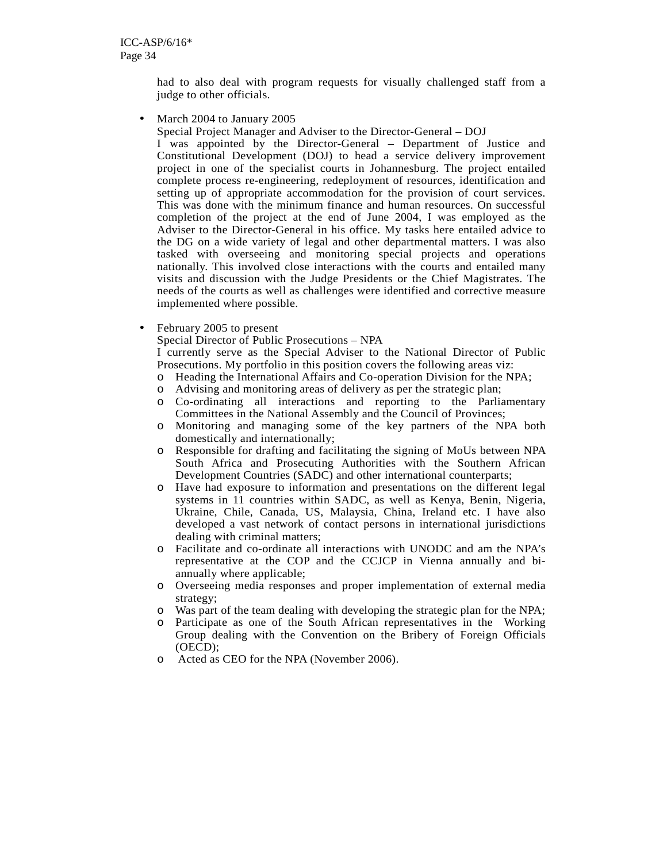had to also deal with program requests for visually challenged staff from a judge to other officials.

• March 2004 to January 2005

Special Project Manager and Adviser to the Director-General – DOJ

I was appointed by the Director-General – Department of Justice and Constitutional Development (DOJ) to head a service delivery improvement project in one of the specialist courts in Johannesburg. The project entailed complete process re-engineering, redeployment of resources, identification and setting up of appropriate accommodation for the provision of court services. This was done with the minimum finance and human resources. On successful completion of the project at the end of June 2004, I was employed as the Adviser to the Director-General in his office. My tasks here entailed advice to the DG on a wide variety of legal and other departmental matters. I was also tasked with overseeing and monitoring special projects and operations nationally. This involved close interactions with the courts and entailed many visits and discussion with the Judge Presidents or the Chief Magistrates. The needs of the courts as well as challenges were identified and corrective measure implemented where possible.

• February 2005 to present

Special Director of Public Prosecutions – NPA

I currently serve as the Special Adviser to the National Director of Public Prosecutions. My portfolio in this position covers the following areas viz:

- o Heading the International Affairs and Co-operation Division for the NPA;
- o Advising and monitoring areas of delivery as per the strategic plan;
- o Co-ordinating all interactions and reporting to the Parliamentary Committees in the National Assembly and the Council of Provinces;
- o Monitoring and managing some of the key partners of the NPA both domestically and internationally;
- o Responsible for drafting and facilitating the signing of MoUs between NPA South Africa and Prosecuting Authorities with the Southern African Development Countries (SADC) and other international counterparts;
- o Have had exposure to information and presentations on the different legal systems in 11 countries within SADC, as well as Kenya, Benin, Nigeria, Ukraine, Chile, Canada, US, Malaysia, China, Ireland etc. I have also developed a vast network of contact persons in international jurisdictions dealing with criminal matters;
- o Facilitate and co-ordinate all interactions with UNODC and am the NPA's representative at the COP and the CCJCP in Vienna annually and biannually where applicable;
- o Overseeing media responses and proper implementation of external media strategy;
- o Was part of the team dealing with developing the strategic plan for the NPA;
- o Participate as one of the South African representatives in the Working Group dealing with the Convention on the Bribery of Foreign Officials (OECD);
- o Acted as CEO for the NPA (November 2006).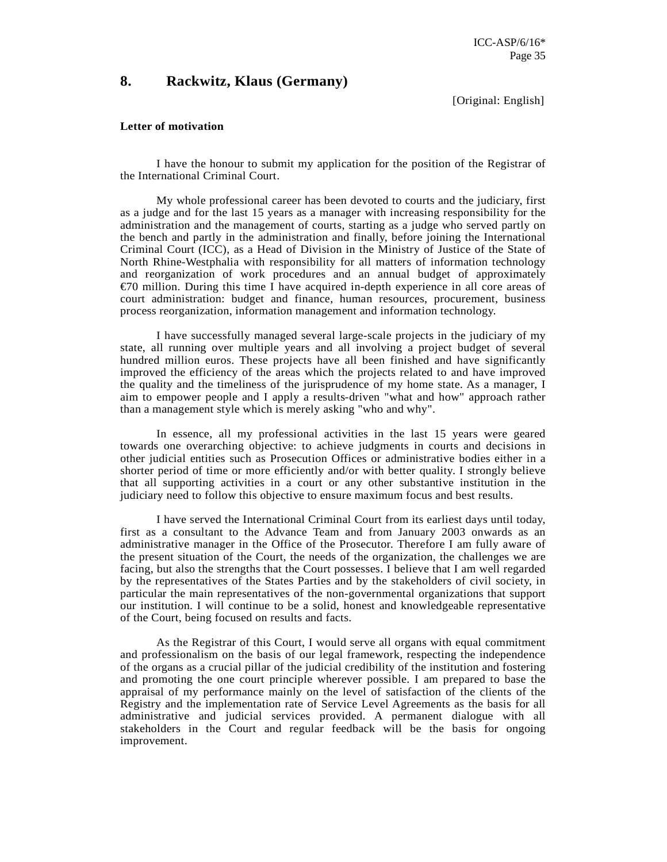### **8. Rackwitz, Klaus (Germany)**

[Original: English]

#### **Letter of motivation**

I have the honour to submit my application for the position of the Registrar of the International Criminal Court.

My whole professional career has been devoted to courts and the judiciary, first as a judge and for the last 15 years as a manager with increasing responsibility for the administration and the management of courts, starting as a judge who served partly on the bench and partly in the administration and finally, before joining the International Criminal Court (ICC), as a Head of Division in the Ministry of Justice of the State of North Rhine-Westphalia with responsibility for all matters of information technology and reorganization of work procedures and an annual budget of approximately €70 million. During this time I have acquired in-depth experience in all core areas of court administration: budget and finance, human resources, procurement, business process reorganization, information management and information technology.

I have successfully managed several large-scale projects in the judiciary of my state, all running over multiple years and all involving a project budget of several hundred million euros. These projects have all been finished and have significantly improved the efficiency of the areas which the projects related to and have improved the quality and the timeliness of the jurisprudence of my home state. As a manager, I aim to empower people and I apply a results-driven "what and how" approach rather than a management style which is merely asking "who and why".

In essence, all my professional activities in the last 15 years were geared towards one overarching objective: to achieve judgments in courts and decisions in other judicial entities such as Prosecution Offices or administrative bodies either in a shorter period of time or more efficiently and/or with better quality. I strongly believe that all supporting activities in a court or any other substantive institution in the judiciary need to follow this objective to ensure maximum focus and best results.

I have served the International Criminal Court from its earliest days until today, first as a consultant to the Advance Team and from January 2003 onwards as an administrative manager in the Office of the Prosecutor. Therefore I am fully aware of the present situation of the Court, the needs of the organization, the challenges we are facing, but also the strengths that the Court possesses. I believe that I am well regarded by the representatives of the States Parties and by the stakeholders of civil society, in particular the main representatives of the non-governmental organizations that support our institution. I will continue to be a solid, honest and knowledgeable representative of the Court, being focused on results and facts.

As the Registrar of this Court, I would serve all organs with equal commitment and professionalism on the basis of our legal framework, respecting the independence of the organs as a crucial pillar of the judicial credibility of the institution and fostering and promoting the one court principle wherever possible. I am prepared to base the appraisal of my performance mainly on the level of satisfaction of the clients of the Registry and the implementation rate of Service Level Agreements as the basis for all administrative and judicial services provided. A permanent dialogue with all stakeholders in the Court and regular feedback will be the basis for ongoing improvement.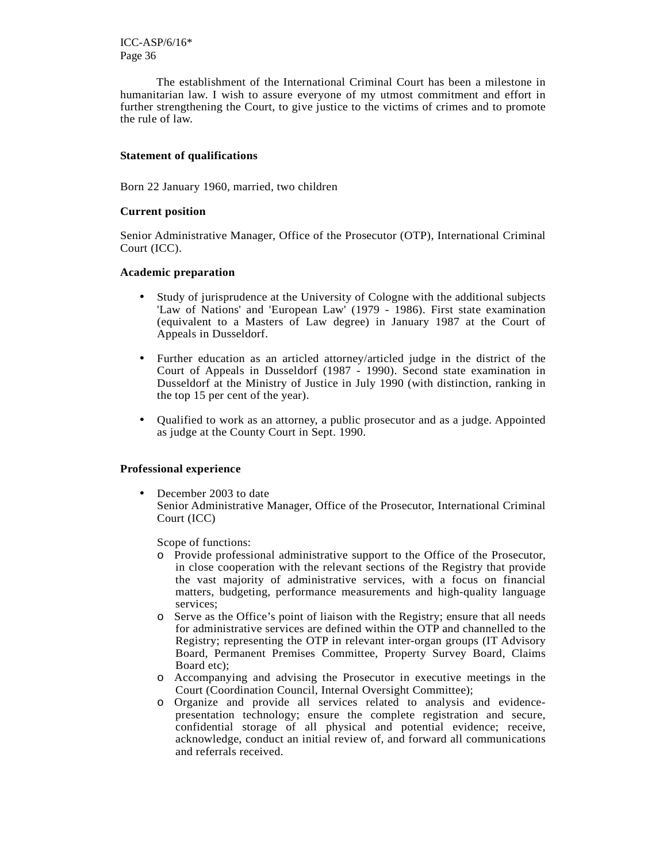The establishment of the International Criminal Court has been a milestone in humanitarian law. I wish to assure everyone of my utmost commitment and effort in further strengthening the Court, to give justice to the victims of crimes and to promote the rule of law.

#### **Statement of qualifications**

Born 22 January 1960, married, two children

#### **Current position**

Senior Administrative Manager, Office of the Prosecutor (OTP), International Criminal Court (ICC).

#### **Academic preparation**

- Study of jurisprudence at the University of Cologne with the additional subjects 'Law of Nations' and 'European Law' (1979 - 1986). First state examination (equivalent to a Masters of Law degree) in January 1987 at the Court of Appeals in Dusseldorf.
- Further education as an articled attorney/articled judge in the district of the Court of Appeals in Dusseldorf (1987 - 1990). Second state examination in Dusseldorf at the Ministry of Justice in July 1990 (with distinction, ranking in the top 15 per cent of the year).
- Qualified to work as an attorney, a public prosecutor and as a judge. Appointed as judge at the County Court in Sept. 1990.

#### **Professional experience**

December 2003 to date Senior Administrative Manager, Office of the Prosecutor, International Criminal Court (ICC)

Scope of functions:

- o Provide professional administrative support to the Office of the Prosecutor, in close cooperation with the relevant sections of the Registry that provide the vast majority of administrative services, with a focus on financial matters, budgeting, performance measurements and high-quality language services;
- o Serve as the Office's point of liaison with the Registry; ensure that all needs for administrative services are defined within the OTP and channelled to the Registry; representing the OTP in relevant inter-organ groups (IT Advisory Board, Permanent Premises Committee, Property Survey Board, Claims Board etc);
- o Accompanying and advising the Prosecutor in executive meetings in the Court (Coordination Council, Internal Oversight Committee);
- o Organize and provide all services related to analysis and evidencepresentation technology; ensure the complete registration and secure, confidential storage of all physical and potential evidence; receive, acknowledge, conduct an initial review of, and forward all communications and referrals received.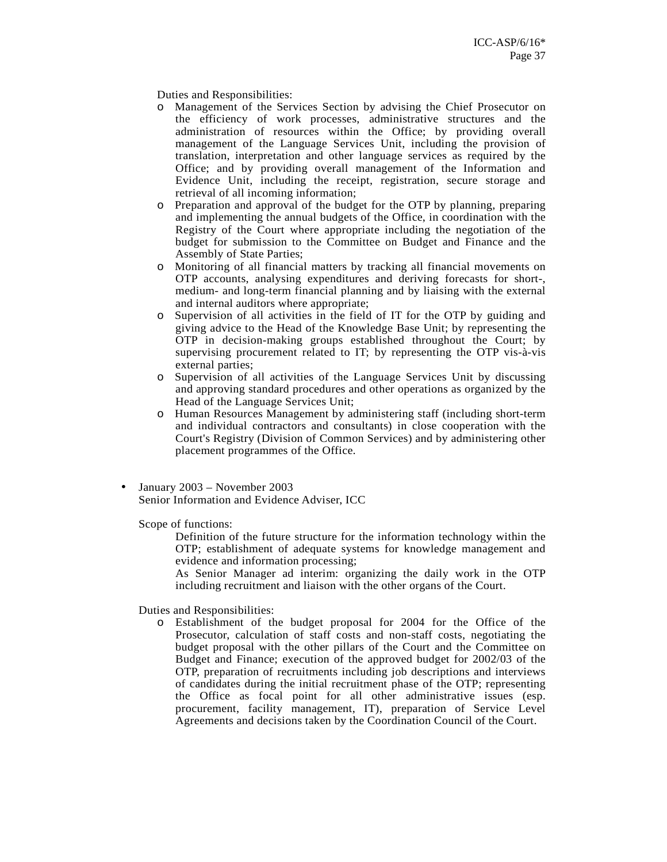Duties and Responsibilities:

- o Management of the Services Section by advising the Chief Prosecutor on the efficiency of work processes, administrative structures and the administration of resources within the Office; by providing overall management of the Language Services Unit, including the provision of translation, interpretation and other language services as required by the Office; and by providing overall management of the Information and Evidence Unit, including the receipt, registration, secure storage and retrieval of all incoming information;
- o Preparation and approval of the budget for the OTP by planning, preparing and implementing the annual budgets of the Office, in coordination with the Registry of the Court where appropriate including the negotiation of the budget for submission to the Committee on Budget and Finance and the Assembly of State Parties;
- o Monitoring of all financial matters by tracking all financial movements on OTP accounts, analysing expenditures and deriving forecasts for short-, medium- and long-term financial planning and by liaising with the external and internal auditors where appropriate;
- o Supervision of all activities in the field of IT for the OTP by guiding and giving advice to the Head of the Knowledge Base Unit; by representing the OTP in decision-making groups established throughout the Court; by supervising procurement related to IT; by representing the OTP vis-à-vis external parties;
- o Supervision of all activities of the Language Services Unit by discussing and approving standard procedures and other operations as organized by the Head of the Language Services Unit;
- o Human Resources Management by administering staff (including short-term and individual contractors and consultants) in close cooperation with the Court's Registry (Division of Common Services) and by administering other placement programmes of the Office.
- January 2003 November 2003 Senior Information and Evidence Adviser, ICC

Scope of functions:

Definition of the future structure for the information technology within the OTP; establishment of adequate systems for knowledge management and evidence and information processing;

As Senior Manager ad interim: organizing the daily work in the OTP including recruitment and liaison with the other organs of the Court.

Duties and Responsibilities:

o Establishment of the budget proposal for 2004 for the Office of the Prosecutor, calculation of staff costs and non-staff costs, negotiating the budget proposal with the other pillars of the Court and the Committee on Budget and Finance; execution of the approved budget for 2002/03 of the OTP, preparation of recruitments including job descriptions and interviews of candidates during the initial recruitment phase of the OTP; representing the Office as focal point for all other administrative issues (esp. procurement, facility management, IT), preparation of Service Level Agreements and decisions taken by the Coordination Council of the Court.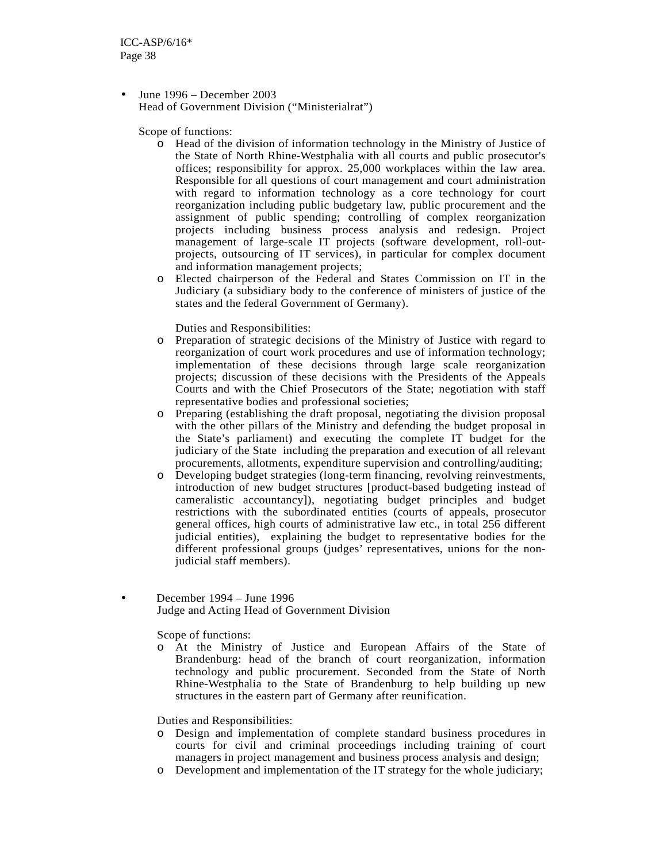• June  $1996 - December 2003$ Head of Government Division ("Ministerialrat")

Scope of functions:

- o Head of the division of information technology in the Ministry of Justice of the State of North Rhine-Westphalia with all courts and public prosecutor's offices; responsibility for approx. 25,000 workplaces within the law area. Responsible for all questions of court management and court administration with regard to information technology as a core technology for court reorganization including public budgetary law, public procurement and the assignment of public spending; controlling of complex reorganization projects including business process analysis and redesign. Project management of large-scale IT projects (software development, roll-outprojects, outsourcing of IT services), in particular for complex document and information management projects;
- o Elected chairperson of the Federal and States Commission on IT in the Judiciary (a subsidiary body to the conference of ministers of justice of the states and the federal Government of Germany).

Duties and Responsibilities:

- o Preparation of strategic decisions of the Ministry of Justice with regard to reorganization of court work procedures and use of information technology; implementation of these decisions through large scale reorganization projects; discussion of these decisions with the Presidents of the Appeals Courts and with the Chief Prosecutors of the State; negotiation with staff representative bodies and professional societies;
- o Preparing (establishing the draft proposal, negotiating the division proposal with the other pillars of the Ministry and defending the budget proposal in the State's parliament) and executing the complete IT budget for the judiciary of the State including the preparation and execution of all relevant procurements, allotments, expenditure supervision and controlling/auditing;
- o Developing budget strategies (long-term financing, revolving reinvestments, introduction of new budget structures [product-based budgeting instead of cameralistic accountancy]), negotiating budget principles and budget restrictions with the subordinated entities (courts of appeals, prosecutor general offices, high courts of administrative law etc., in total 256 different judicial entities), explaining the budget to representative bodies for the different professional groups (judges' representatives, unions for the nonjudicial staff members).
- December 1994 June 1996 Judge and Acting Head of Government Division

Scope of functions:

o At the Ministry of Justice and European Affairs of the State of Brandenburg: head of the branch of court reorganization, information technology and public procurement. Seconded from the State of North Rhine-Westphalia to the State of Brandenburg to help building up new structures in the eastern part of Germany after reunification.

Duties and Responsibilities:

- o Design and implementation of complete standard business procedures in courts for civil and criminal proceedings including training of court managers in project management and business process analysis and design;
- o Development and implementation of the IT strategy for the whole judiciary;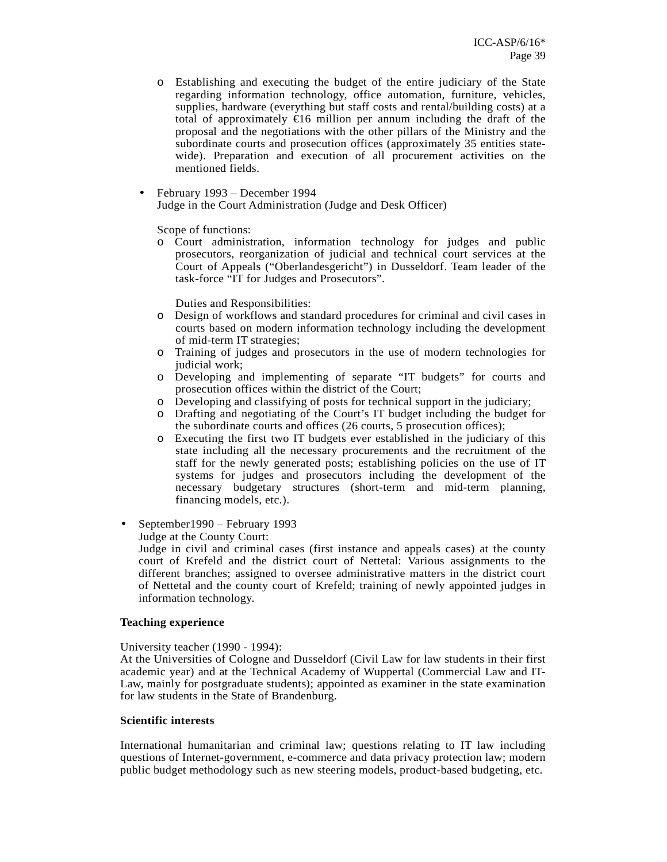- o Establishing and executing the budget of the entire judiciary of the State regarding information technology, office automation, furniture, vehicles, supplies, hardware (everything but staff costs and rental/building costs) at a total of approximately  $\epsilon$ 16 million per annum including the draft of the proposal and the negotiations with the other pillars of the Ministry and the subordinate courts and prosecution offices (approximately 35 entities statewide). Preparation and execution of all procurement activities on the mentioned fields.
- February 1993 December 1994 Judge in the Court Administration (Judge and Desk Officer)

Scope of functions:

o Court administration, information technology for judges and public prosecutors, reorganization of judicial and technical court services at the Court of Appeals ("Oberlandesgericht") in Dusseldorf. Team leader of the task-force "IT for Judges and Prosecutors".

Duties and Responsibilities:

- o Design of workflows and standard procedures for criminal and civil cases in courts based on modern information technology including the development of mid-term IT strategies;
- o Training of judges and prosecutors in the use of modern technologies for judicial work;
- o Developing and implementing of separate "IT budgets" for courts and prosecution offices within the district of the Court;
- o Developing and classifying of posts for technical support in the judiciary;
- o Drafting and negotiating of the Court's IT budget including the budget for the subordinate courts and offices (26 courts, 5 prosecution offices);
- o Executing the first two IT budgets ever established in the judiciary of this state including all the necessary procurements and the recruitment of the staff for the newly generated posts; establishing policies on the use of IT systems for judges and prosecutors including the development of the necessary budgetary structures (short-term and mid-term planning, financing models, etc.).
- September 1990 February 1993

Judge at the County Court:

Judge in civil and criminal cases (first instance and appeals cases) at the county court of Krefeld and the district court of Nettetal: Various assignments to the different branches; assigned to oversee administrative matters in the district court of Nettetal and the county court of Krefeld; training of newly appointed judges in information technology.

#### **Teaching experience**

University teacher (1990 - 1994):

At the Universities of Cologne and Dusseldorf (Civil Law for law students in their first academic year) and at the Technical Academy of Wuppertal (Commercial Law and IT-Law, mainly for postgraduate students); appointed as examiner in the state examination for law students in the State of Brandenburg.

#### **Scientific interests**

International humanitarian and criminal law; questions relating to IT law including questions of Internet-government, e-commerce and data privacy protection law; modern public budget methodology such as new steering models, product-based budgeting, etc.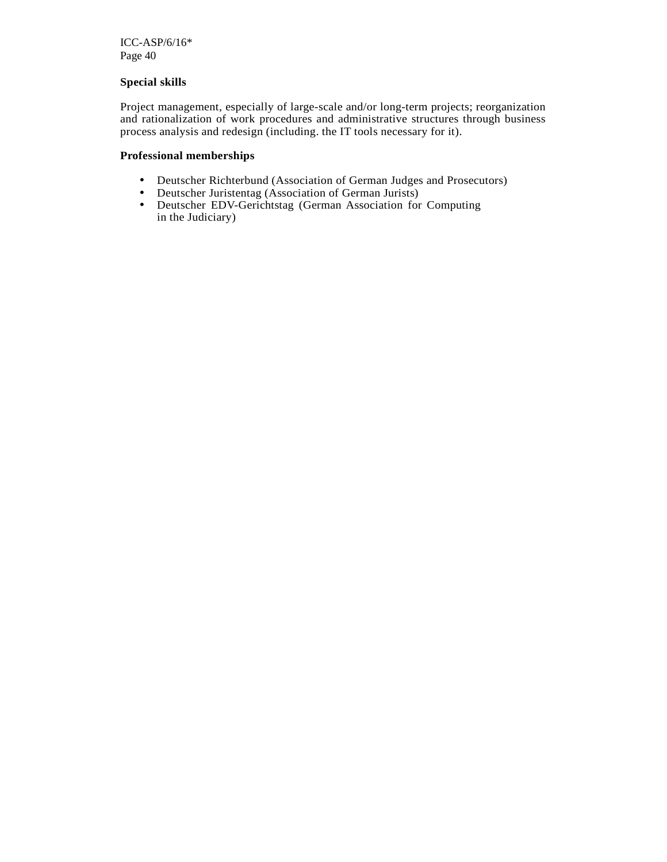#### **Special skills**

Project management, especially of large-scale and/or long-term projects; reorganization and rationalization of work procedures and administrative structures through business process analysis and redesign (including. the IT tools necessary for it).

### **Professional memberships**

- Deutscher Richterbund (Association of German Judges and Prosecutors)
- Deutscher Juristentag (Association of German Jurists)
- Deutscher EDV-Gerichtstag (German Association for Computing in the Judiciary)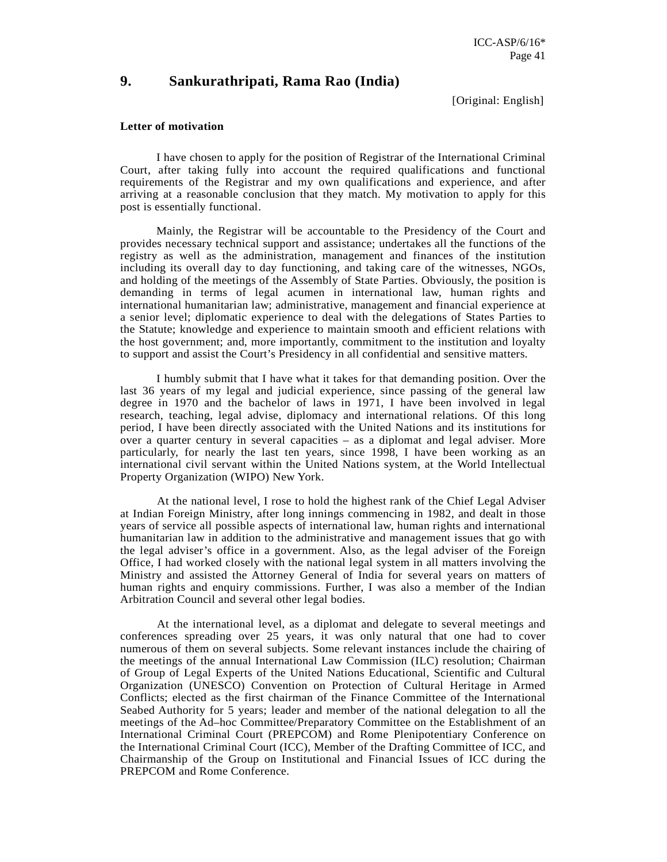### **9. Sankurathripati, Rama Rao (India)**

[Original: English]

#### **Letter of motivation**

I have chosen to apply for the position of Registrar of the International Criminal Court, after taking fully into account the required qualifications and functional requirements of the Registrar and my own qualifications and experience, and after arriving at a reasonable conclusion that they match. My motivation to apply for this post is essentially functional.

 Mainly, the Registrar will be accountable to the Presidency of the Court and provides necessary technical support and assistance; undertakes all the functions of the registry as well as the administration, management and finances of the institution including its overall day to day functioning, and taking care of the witnesses, NGOs, and holding of the meetings of the Assembly of State Parties. Obviously, the position is demanding in terms of legal acumen in international law, human rights and international humanitarian law; administrative, management and financial experience at a senior level; diplomatic experience to deal with the delegations of States Parties to the Statute; knowledge and experience to maintain smooth and efficient relations with the host government; and, more importantly, commitment to the institution and loyalty to support and assist the Court's Presidency in all confidential and sensitive matters.

 I humbly submit that I have what it takes for that demanding position. Over the last 36 years of my legal and judicial experience, since passing of the general law degree in 1970 and the bachelor of laws in 1971, I have been involved in legal research, teaching, legal advise, diplomacy and international relations. Of this long period, I have been directly associated with the United Nations and its institutions for over a quarter century in several capacities – as a diplomat and legal adviser. More particularly, for nearly the last ten years, since 1998, I have been working as an international civil servant within the United Nations system, at the World Intellectual Property Organization (WIPO) New York.

At the national level, I rose to hold the highest rank of the Chief Legal Adviser at Indian Foreign Ministry, after long innings commencing in 1982, and dealt in those years of service all possible aspects of international law, human rights and international humanitarian law in addition to the administrative and management issues that go with the legal adviser's office in a government. Also, as the legal adviser of the Foreign Office, I had worked closely with the national legal system in all matters involving the Ministry and assisted the Attorney General of India for several years on matters of human rights and enquiry commissions. Further, I was also a member of the Indian Arbitration Council and several other legal bodies.

At the international level, as a diplomat and delegate to several meetings and conferences spreading over 25 years, it was only natural that one had to cover numerous of them on several subjects. Some relevant instances include the chairing of the meetings of the annual International Law Commission (ILC) resolution; Chairman of Group of Legal Experts of the United Nations Educational, Scientific and Cultural Organization (UNESCO) Convention on Protection of Cultural Heritage in Armed Conflicts; elected as the first chairman of the Finance Committee of the International Seabed Authority for 5 years; leader and member of the national delegation to all the meetings of the Ad–hoc Committee/Preparatory Committee on the Establishment of an International Criminal Court (PREPCOM) and Rome Plenipotentiary Conference on the International Criminal Court (ICC), Member of the Drafting Committee of ICC, and Chairmanship of the Group on Institutional and Financial Issues of ICC during the PREPCOM and Rome Conference.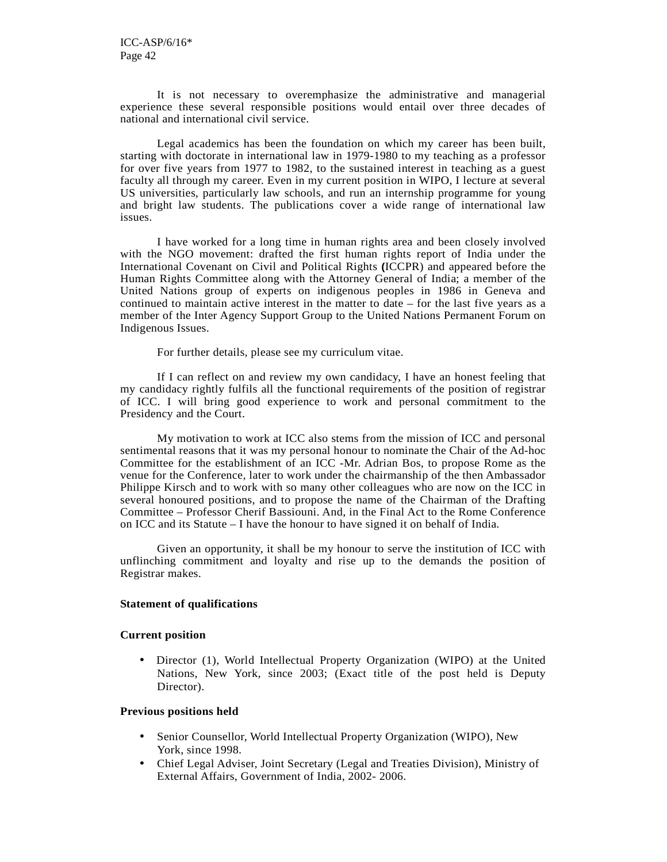It is not necessary to overemphasize the administrative and managerial experience these several responsible positions would entail over three decades of national and international civil service.

Legal academics has been the foundation on which my career has been built, starting with doctorate in international law in 1979-1980 to my teaching as a professor for over five years from 1977 to 1982, to the sustained interest in teaching as a guest faculty all through my career. Even in my current position in WIPO, I lecture at several US universities, particularly law schools, and run an internship programme for young and bright law students. The publications cover a wide range of international law issues.

I have worked for a long time in human rights area and been closely involved with the NGO movement: drafted the first human rights report of India under the International Covenant on Civil and Political Rights **(**ICCPR) and appeared before the Human Rights Committee along with the Attorney General of India; a member of the United Nations group of experts on indigenous peoples in 1986 in Geneva and continued to maintain active interest in the matter to date – for the last five years as a member of the Inter Agency Support Group to the United Nations Permanent Forum on Indigenous Issues.

For further details, please see my curriculum vitae.

If I can reflect on and review my own candidacy, I have an honest feeling that my candidacy rightly fulfils all the functional requirements of the position of registrar of ICC. I will bring good experience to work and personal commitment to the Presidency and the Court.

My motivation to work at ICC also stems from the mission of ICC and personal sentimental reasons that it was my personal honour to nominate the Chair of the Ad-hoc Committee for the establishment of an ICC -Mr. Adrian Bos, to propose Rome as the venue for the Conference, later to work under the chairmanship of the then Ambassador Philippe Kirsch and to work with so many other colleagues who are now on the ICC in several honoured positions, and to propose the name of the Chairman of the Drafting Committee – Professor Cherif Bassiouni. And, in the Final Act to the Rome Conference on ICC and its Statute – I have the honour to have signed it on behalf of India.

Given an opportunity, it shall be my honour to serve the institution of ICC with unflinching commitment and loyalty and rise up to the demands the position of Registrar makes.

#### **Statement of qualifications**

#### **Current position**

• Director (1), World Intellectual Property Organization (WIPO) at the United Nations, New York, since 2003; (Exact title of the post held is Deputy Director).

#### **Previous positions held**

- Senior Counsellor, World Intellectual Property Organization (WIPO), New York, since 1998.
- Chief Legal Adviser, Joint Secretary (Legal and Treaties Division), Ministry of External Affairs, Government of India, 2002- 2006.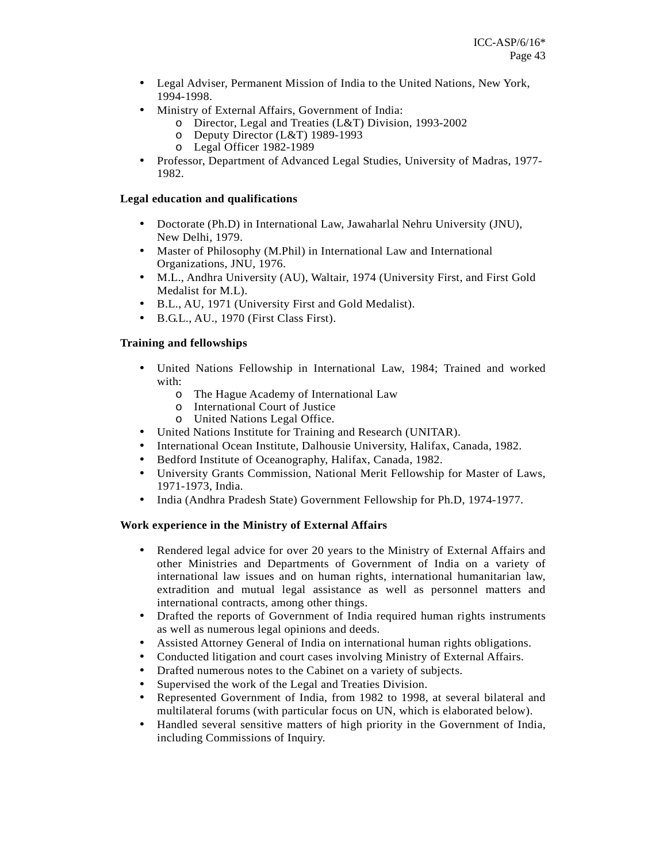- Legal Adviser, Permanent Mission of India to the United Nations, New York, 1994-1998.
- Ministry of External Affairs, Government of India:
	- o Director, Legal and Treaties (L&T) Division, 1993-2002
	- o Deputy Director (L&T) 1989-1993
	- o Legal Officer 1982-1989
- Professor, Department of Advanced Legal Studies, University of Madras, 1977- 1982.

### **Legal education and qualifications**

- Doctorate (Ph.D) in International Law, Jawaharlal Nehru University (JNU), New Delhi, 1979.
- Master of Philosophy (M.Phil) in International Law and International Organizations, JNU, 1976.
- M.L., Andhra University (AU), Waltair, 1974 (University First, and First Gold Medalist for M.L).
- B.L., AU, 1971 (University First and Gold Medalist).
- B.G.L., AU., 1970 (First Class First).

### **Training and fellowships**

- United Nations Fellowship in International Law, 1984; Trained and worked with:
	- o The Hague Academy of International Law
	- o International Court of Justice
	- o United Nations Legal Office.
- United Nations Institute for Training and Research (UNITAR).
- International Ocean Institute, Dalhousie University, Halifax, Canada, 1982.
- Bedford Institute of Oceanography, Halifax, Canada, 1982.
- University Grants Commission, National Merit Fellowship for Master of Laws, 1971-1973, India.
- India (Andhra Pradesh State) Government Fellowship for Ph.D, 1974-1977.

#### **Work experience in the Ministry of External Affairs**

- Rendered legal advice for over 20 years to the Ministry of External Affairs and other Ministries and Departments of Government of India on a variety of international law issues and on human rights, international humanitarian law, extradition and mutual legal assistance as well as personnel matters and international contracts, among other things.
- Drafted the reports of Government of India required human rights instruments as well as numerous legal opinions and deeds.
- Assisted Attorney General of India on international human rights obligations.
- Conducted litigation and court cases involving Ministry of External Affairs.
- Drafted numerous notes to the Cabinet on a variety of subjects.
- Supervised the work of the Legal and Treaties Division.
- Represented Government of India, from 1982 to 1998, at several bilateral and multilateral forums (with particular focus on UN, which is elaborated below).
- Handled several sensitive matters of high priority in the Government of India, including Commissions of Inquiry.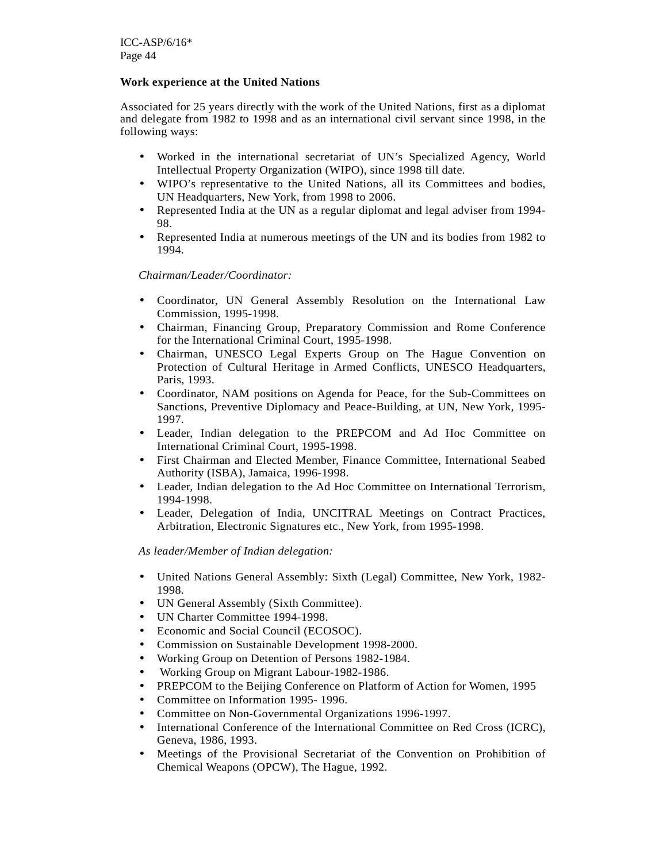### **Work experience at the United Nations**

Associated for 25 years directly with the work of the United Nations, first as a diplomat and delegate from 1982 to 1998 and as an international civil servant since 1998, in the following ways:

- Worked in the international secretariat of UN's Specialized Agency, World Intellectual Property Organization (WIPO), since 1998 till date.
- WIPO's representative to the United Nations, all its Committees and bodies, UN Headquarters, New York, from 1998 to 2006.
- Represented India at the UN as a regular diplomat and legal adviser from 1994- 98.
- Represented India at numerous meetings of the UN and its bodies from 1982 to 1994.

### *Chairman/Leader/Coordinator:*

- Coordinator, UN General Assembly Resolution on the International Law Commission, 1995-1998.
- Chairman, Financing Group, Preparatory Commission and Rome Conference for the International Criminal Court, 1995-1998.
- Chairman, UNESCO Legal Experts Group on The Hague Convention on Protection of Cultural Heritage in Armed Conflicts, UNESCO Headquarters, Paris, 1993.
- Coordinator, NAM positions on Agenda for Peace, for the Sub-Committees on Sanctions, Preventive Diplomacy and Peace-Building, at UN, New York, 1995- 1997.
- Leader, Indian delegation to the PREPCOM and Ad Hoc Committee on International Criminal Court, 1995-1998.
- First Chairman and Elected Member, Finance Committee, International Seabed Authority (ISBA), Jamaica, 1996-1998.
- Leader, Indian delegation to the Ad Hoc Committee on International Terrorism, 1994-1998.
- Leader, Delegation of India, UNCITRAL Meetings on Contract Practices, Arbitration, Electronic Signatures etc., New York, from 1995-1998.

#### *As leader/Member of Indian delegation:*

- United Nations General Assembly: Sixth (Legal) Committee, New York, 1982- 1998.
- UN General Assembly (Sixth Committee).
- UN Charter Committee 1994-1998.
- Economic and Social Council (ECOSOC).
- Commission on Sustainable Development 1998-2000.
- Working Group on Detention of Persons 1982-1984.
- Working Group on Migrant Labour-1982-1986.
- PREPCOM to the Beijing Conference on Platform of Action for Women, 1995
- Committee on Information 1995- 1996.
- Committee on Non-Governmental Organizations 1996-1997.
- International Conference of the International Committee on Red Cross (ICRC), Geneva, 1986, 1993.
- Meetings of the Provisional Secretariat of the Convention on Prohibition of Chemical Weapons (OPCW), The Hague, 1992.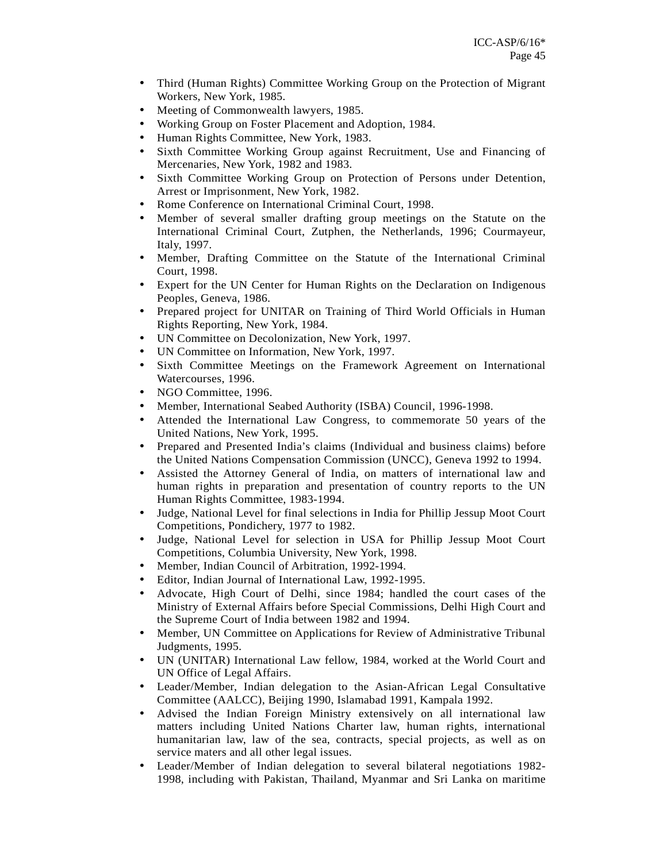- Third (Human Rights) Committee Working Group on the Protection of Migrant Workers, New York, 1985.
- Meeting of Commonwealth lawyers, 1985.
- Working Group on Foster Placement and Adoption, 1984.
- Human Rights Committee, New York, 1983.
- Sixth Committee Working Group against Recruitment, Use and Financing of Mercenaries, New York, 1982 and 1983.
- Sixth Committee Working Group on Protection of Persons under Detention, Arrest or Imprisonment, New York, 1982.
- Rome Conference on International Criminal Court, 1998.
- Member of several smaller drafting group meetings on the Statute on the International Criminal Court, Zutphen, the Netherlands, 1996; Courmayeur, Italy, 1997.
- Member, Drafting Committee on the Statute of the International Criminal Court, 1998.
- Expert for the UN Center for Human Rights on the Declaration on Indigenous Peoples, Geneva, 1986.
- Prepared project for UNITAR on Training of Third World Officials in Human Rights Reporting, New York, 1984.
- UN Committee on Decolonization, New York, 1997.<br>• UN Committee on Information, New York, 1997.
- UN Committee on Information, New York, 1997.
- Sixth Committee Meetings on the Framework Agreement on International Watercourses, 1996.
- NGO Committee, 1996.
- Member, International Seabed Authority (ISBA) Council, 1996-1998.
- Attended the International Law Congress, to commemorate 50 years of the United Nations, New York, 1995.
- Prepared and Presented India's claims (Individual and business claims) before the United Nations Compensation Commission (UNCC), Geneva 1992 to 1994.
- Assisted the Attorney General of India, on matters of international law and human rights in preparation and presentation of country reports to the UN Human Rights Committee, 1983-1994.
- Judge, National Level for final selections in India for Phillip Jessup Moot Court Competitions, Pondichery, 1977 to 1982.
- Judge, National Level for selection in USA for Phillip Jessup Moot Court Competitions, Columbia University, New York, 1998.
- Member, Indian Council of Arbitration, 1992-1994.
- Editor, Indian Journal of International Law, 1992-1995.
- Advocate, High Court of Delhi, since 1984; handled the court cases of the Ministry of External Affairs before Special Commissions, Delhi High Court and the Supreme Court of India between 1982 and 1994.
- Member, UN Committee on Applications for Review of Administrative Tribunal Judgments, 1995.
- UN (UNITAR) International Law fellow, 1984, worked at the World Court and UN Office of Legal Affairs.
- Leader/Member, Indian delegation to the Asian-African Legal Consultative Committee (AALCC), Beijing 1990, Islamabad 1991, Kampala 1992.
- Advised the Indian Foreign Ministry extensively on all international law matters including United Nations Charter law, human rights, international humanitarian law, law of the sea, contracts, special projects, as well as on service maters and all other legal issues.
- Leader/Member of Indian delegation to several bilateral negotiations 1982- 1998, including with Pakistan, Thailand, Myanmar and Sri Lanka on maritime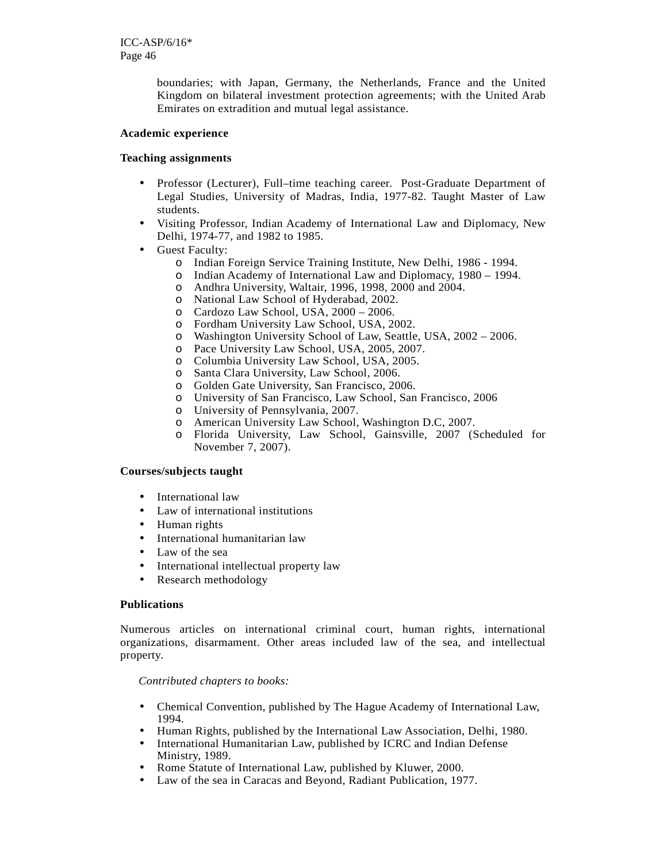boundaries; with Japan, Germany, the Netherlands, France and the United Kingdom on bilateral investment protection agreements; with the United Arab Emirates on extradition and mutual legal assistance.

#### **Academic experience**

#### **Teaching assignments**

- Professor (Lecturer), Full–time teaching career. Post-Graduate Department of Legal Studies, University of Madras, India, 1977-82. Taught Master of Law students.
- Visiting Professor, Indian Academy of International Law and Diplomacy, New Delhi, 1974-77, and 1982 to 1985.
- Guest Faculty:
	- o Indian Foreign Service Training Institute, New Delhi, 1986 1994.
	- o Indian Academy of International Law and Diplomacy, 1980 1994.
	- o Andhra University, Waltair, 1996, 1998, 2000 and 2004.
	- o National Law School of Hyderabad, 2002.
	- o Cardozo Law School, USA, 2000 2006.
	- o Fordham University Law School, USA, 2002.
	- o Washington University School of Law, Seattle, USA, 2002 2006.
	- Pace University Law School, USA, 2005, 2007.
	- o Columbia University Law School, USA, 2005.
	- o Santa Clara University, Law School, 2006.
	- o Golden Gate University, San Francisco, 2006.
	- o University of San Francisco, Law School, San Francisco, 2006
	- o University of Pennsylvania, 2007.
	- o American University Law School, Washington D.C, 2007.
	- o Florida University, Law School, Gainsville, 2007 (Scheduled for November 7, 2007).

#### **Courses/subjects taught**

- International law
- Law of international institutions
- Human rights
- International humanitarian law
- Law of the sea
- International intellectual property law
- Research methodology

#### **Publications**

Numerous articles on international criminal court, human rights, international organizations, disarmament. Other areas included law of the sea, and intellectual property.

#### *Contributed chapters to books:*

- Chemical Convention, published by The Hague Academy of International Law, 1994.
- Human Rights, published by the International Law Association, Delhi, 1980.
- International Humanitarian Law, published by ICRC and Indian Defense Ministry, 1989.
- Rome Statute of International Law, published by Kluwer, 2000.
- Law of the sea in Caracas and Beyond, Radiant Publication, 1977.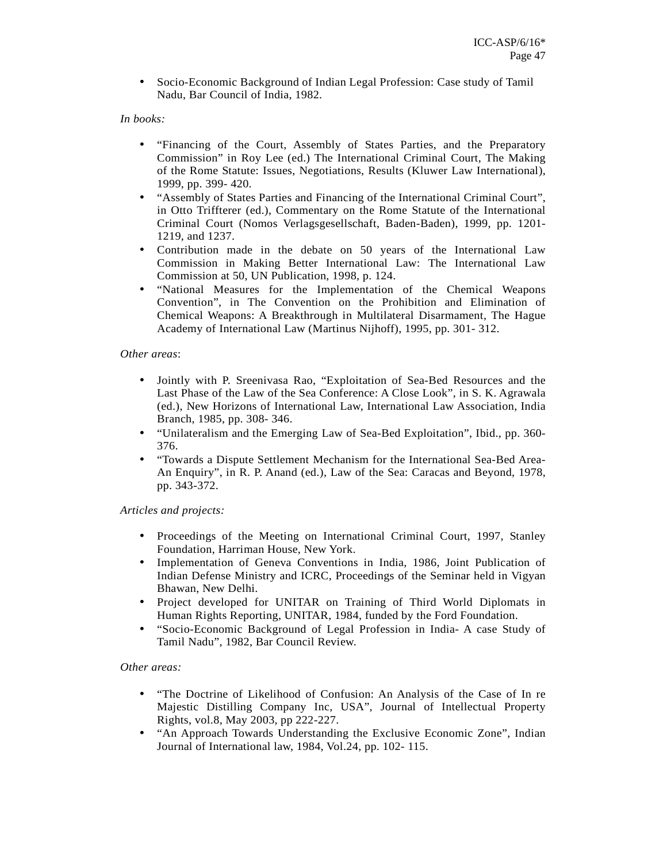• Socio-Economic Background of Indian Legal Profession: Case study of Tamil Nadu, Bar Council of India, 1982.

### *In books:*

- "Financing of the Court, Assembly of States Parties, and the Preparatory Commission" in Roy Lee (ed.) The International Criminal Court, The Making of the Rome Statute: Issues, Negotiations, Results (Kluwer Law International), 1999, pp. 399- 420.
- "Assembly of States Parties and Financing of the International Criminal Court", in Otto Triffterer (ed.), Commentary on the Rome Statute of the International Criminal Court (Nomos Verlagsgesellschaft, Baden-Baden), 1999, pp. 1201- 1219, and 1237.
- Contribution made in the debate on 50 years of the International Law Commission in Making Better International Law: The International Law Commission at 50, UN Publication, 1998, p. 124.
- "National Measures for the Implementation of the Chemical Weapons Convention", in The Convention on the Prohibition and Elimination of Chemical Weapons: A Breakthrough in Multilateral Disarmament, The Hague Academy of International Law (Martinus Nijhoff), 1995, pp. 301- 312.

#### *Other areas*:

- Jointly with P. Sreenivasa Rao, "Exploitation of Sea-Bed Resources and the Last Phase of the Law of the Sea Conference: A Close Look", in S. K. Agrawala (ed.), New Horizons of International Law, International Law Association, India Branch, 1985, pp. 308- 346.
- "Unilateralism and the Emerging Law of Sea-Bed Exploitation", Ibid., pp. 360- 376.
- "Towards a Dispute Settlement Mechanism for the International Sea-Bed Area-An Enquiry", in R. P. Anand (ed.), Law of the Sea: Caracas and Beyond, 1978, pp. 343-372.

#### *Articles and projects:*

- Proceedings of the Meeting on International Criminal Court, 1997, Stanley Foundation, Harriman House, New York.
- Implementation of Geneva Conventions in India, 1986, Joint Publication of Indian Defense Ministry and ICRC, Proceedings of the Seminar held in Vigyan Bhawan, New Delhi.
- Project developed for UNITAR on Training of Third World Diplomats in Human Rights Reporting, UNITAR, 1984, funded by the Ford Foundation.
- "Socio-Economic Background of Legal Profession in India- A case Study of Tamil Nadu", 1982, Bar Council Review.

#### *Other areas:*

- "The Doctrine of Likelihood of Confusion: An Analysis of the Case of In re Majestic Distilling Company Inc, USA", Journal of Intellectual Property Rights, vol.8, May 2003, pp 222-227.
- "An Approach Towards Understanding the Exclusive Economic Zone", Indian Journal of International law, 1984, Vol.24, pp. 102- 115.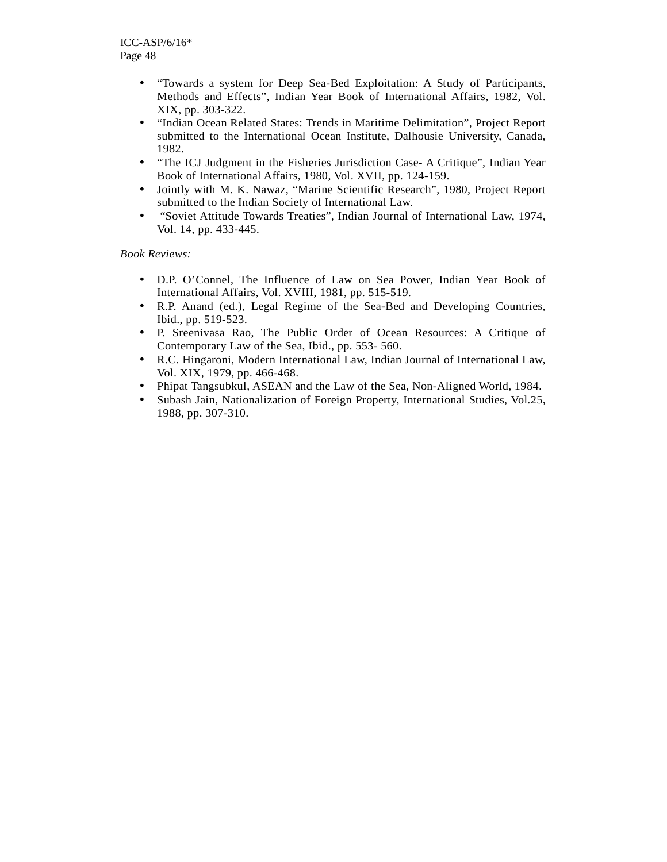- "Towards a system for Deep Sea-Bed Exploitation: A Study of Participants, Methods and Effects", Indian Year Book of International Affairs, 1982, Vol. XIX, pp. 303-322.
- "Indian Ocean Related States: Trends in Maritime Delimitation", Project Report submitted to the International Ocean Institute, Dalhousie University, Canada, 1982.
- "The ICJ Judgment in the Fisheries Jurisdiction Case- A Critique", Indian Year Book of International Affairs, 1980, Vol. XVII, pp. 124-159.
- Jointly with M. K. Nawaz, "Marine Scientific Research", 1980, Project Report submitted to the Indian Society of International Law.
- "Soviet Attitude Towards Treaties", Indian Journal of International Law, 1974, Vol. 14, pp. 433-445.

*Book Reviews:* 

- D.P. O'Connel, The Influence of Law on Sea Power, Indian Year Book of International Affairs, Vol. XVIII, 1981, pp. 515-519.
- R.P. Anand (ed.), Legal Regime of the Sea-Bed and Developing Countries, Ibid., pp. 519-523.
- P. Sreenivasa Rao, The Public Order of Ocean Resources: A Critique of Contemporary Law of the Sea, Ibid., pp. 553- 560.
- R.C. Hingaroni, Modern International Law, Indian Journal of International Law, Vol. XIX, 1979, pp. 466-468.
- Phipat Tangsubkul, ASEAN and the Law of the Sea, Non-Aligned World, 1984.
- Subash Jain, Nationalization of Foreign Property, International Studies, Vol.25, 1988, pp. 307-310.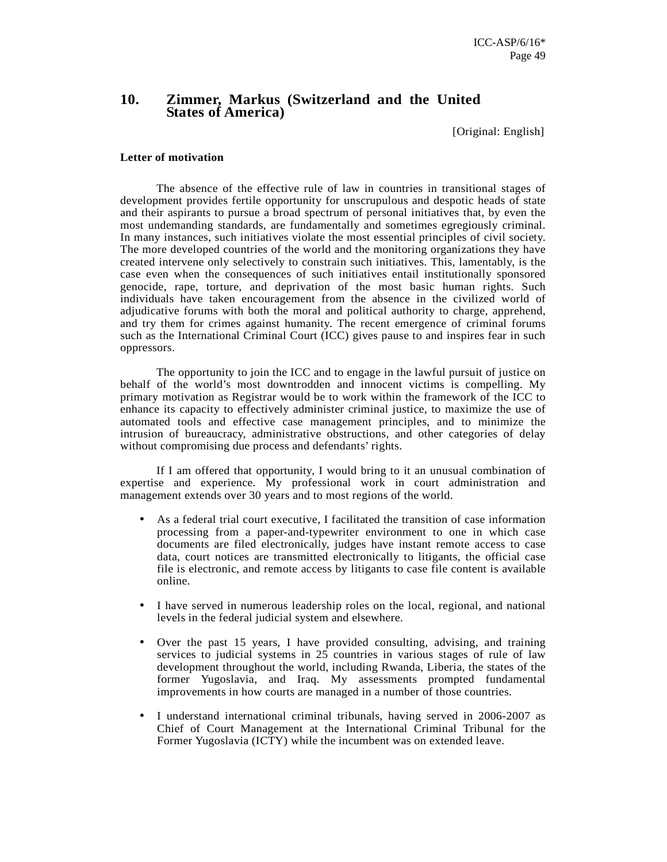### **10. Zimmer, Markus (Switzerland and the United States of America)**

[Original: English]

#### **Letter of motivation**

The absence of the effective rule of law in countries in transitional stages of development provides fertile opportunity for unscrupulous and despotic heads of state and their aspirants to pursue a broad spectrum of personal initiatives that, by even the most undemanding standards, are fundamentally and sometimes egregiously criminal. In many instances, such initiatives violate the most essential principles of civil society. The more developed countries of the world and the monitoring organizations they have created intervene only selectively to constrain such initiatives. This, lamentably, is the case even when the consequences of such initiatives entail institutionally sponsored genocide, rape, torture, and deprivation of the most basic human rights. Such individuals have taken encouragement from the absence in the civilized world of adjudicative forums with both the moral and political authority to charge, apprehend, and try them for crimes against humanity. The recent emergence of criminal forums such as the International Criminal Court (ICC) gives pause to and inspires fear in such oppressors.

The opportunity to join the ICC and to engage in the lawful pursuit of justice on behalf of the world's most downtrodden and innocent victims is compelling. My primary motivation as Registrar would be to work within the framework of the ICC to enhance its capacity to effectively administer criminal justice, to maximize the use of automated tools and effective case management principles, and to minimize the intrusion of bureaucracy, administrative obstructions, and other categories of delay without compromising due process and defendants' rights.

If I am offered that opportunity, I would bring to it an unusual combination of expertise and experience. My professional work in court administration and management extends over 30 years and to most regions of the world.

- As a federal trial court executive, I facilitated the transition of case information processing from a paper-and-typewriter environment to one in which case documents are filed electronically, judges have instant remote access to case data, court notices are transmitted electronically to litigants, the official case file is electronic, and remote access by litigants to case file content is available online.
- I have served in numerous leadership roles on the local, regional, and national levels in the federal judicial system and elsewhere.
- Over the past 15 years, I have provided consulting, advising, and training services to judicial systems in 25 countries in various stages of rule of law development throughout the world, including Rwanda, Liberia, the states of the former Yugoslavia, and Iraq. My assessments prompted fundamental improvements in how courts are managed in a number of those countries.
- I understand international criminal tribunals, having served in 2006-2007 as Chief of Court Management at the International Criminal Tribunal for the Former Yugoslavia (ICTY) while the incumbent was on extended leave.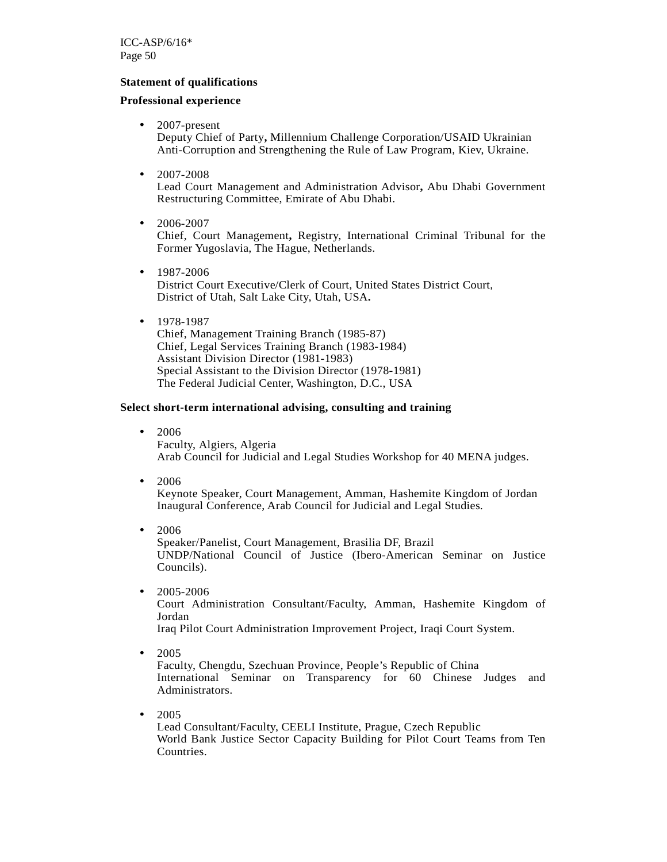### **Statement of qualifications**

### **Professional experience**

- 2007-present Deputy Chief of Party**,** Millennium Challenge Corporation/USAID Ukrainian Anti-Corruption and Strengthening the Rule of Law Program, Kiev, Ukraine.
- 2007-2008

Lead Court Management and Administration Advisor**,** Abu Dhabi Government Restructuring Committee, Emirate of Abu Dhabi.

- $2006 2007$ Chief, Court Management**,** Registry, International Criminal Tribunal for the Former Yugoslavia, The Hague, Netherlands.
- 1987-2006 District Court Executive/Clerk of Court, United States District Court, District of Utah, Salt Lake City, Utah, USA**.**
- 1978-1987 Chief, Management Training Branch (1985-87) Chief, Legal Services Training Branch (1983-1984) Assistant Division Director (1981-1983) Special Assistant to the Division Director (1978-1981) The Federal Judicial Center, Washington, D.C., USA

### **Select short-term international advising, consulting and training**

- 2006 Faculty, Algiers, Algeria Arab Council for Judicial and Legal Studies Workshop for 40 MENA judges.
- 2006

Keynote Speaker, Court Management, Amman, Hashemite Kingdom of Jordan Inaugural Conference, Arab Council for Judicial and Legal Studies.

- 2006 Speaker/Panelist, Court Management, Brasilia DF, Brazil UNDP/National Council of Justice (Ibero-American Seminar on Justice Councils).
- 2005-2006

Court Administration Consultant/Faculty, Amman, Hashemite Kingdom of Jordan

Iraq Pilot Court Administration Improvement Project, Iraqi Court System.

• 2005

Faculty, Chengdu, Szechuan Province, People's Republic of China International Seminar on Transparency for 60 Chinese Judges and Administrators.

• 2005

Lead Consultant/Faculty, CEELI Institute, Prague, Czech Republic World Bank Justice Sector Capacity Building for Pilot Court Teams from Ten Countries.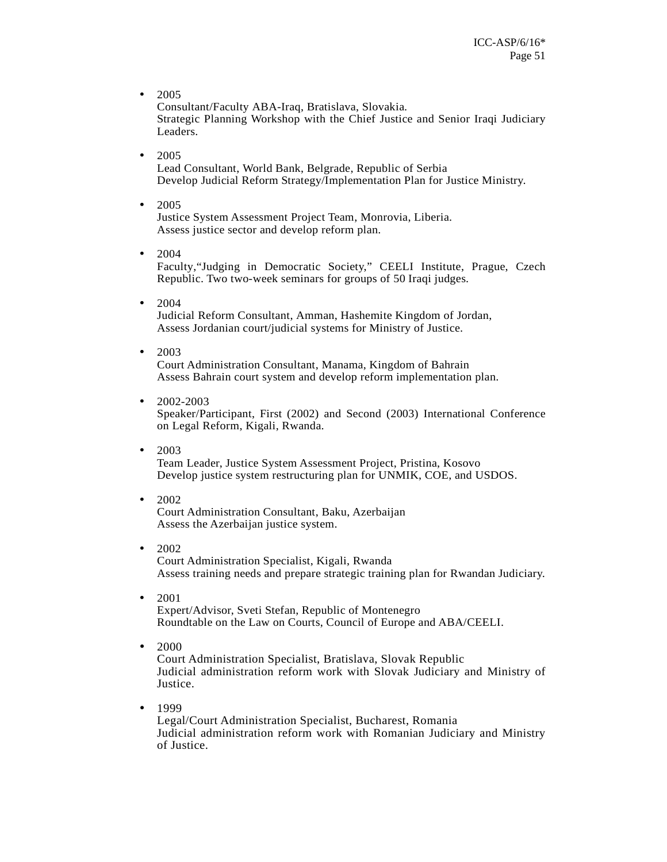• 2005

Consultant/Faculty ABA-Iraq, Bratislava, Slovakia. Strategic Planning Workshop with the Chief Justice and Senior Iraqi Judiciary Leaders.

• 2005

Lead Consultant, World Bank, Belgrade, Republic of Serbia Develop Judicial Reform Strategy/Implementation Plan for Justice Ministry.

• 2005

Justice System Assessment Project Team, Monrovia, Liberia. Assess justice sector and develop reform plan.

• 2004

Faculty,"Judging in Democratic Society," CEELI Institute, Prague, Czech Republic. Two two-week seminars for groups of 50 Iraqi judges.

• 2004

Judicial Reform Consultant, Amman, Hashemite Kingdom of Jordan, Assess Jordanian court/judicial systems for Ministry of Justice.

 $• 2003$ 

Court Administration Consultant, Manama, Kingdom of Bahrain Assess Bahrain court system and develop reform implementation plan.

 $\bullet$  2002-2003

Speaker/Participant, First (2002) and Second (2003) International Conference on Legal Reform, Kigali, Rwanda.

• 2003

Team Leader, Justice System Assessment Project, Pristina, Kosovo Develop justice system restructuring plan for UNMIK, COE, and USDOS.

• 2002

Court Administration Consultant, Baku, Azerbaijan Assess the Azerbaijan justice system.

- 2002 Court Administration Specialist, Kigali, Rwanda Assess training needs and prepare strategic training plan for Rwandan Judiciary.
- 2001 Expert/Advisor, Sveti Stefan, Republic of Montenegro Roundtable on the Law on Courts, Council of Europe and ABA/CEELI.
	-
- 2000

Court Administration Specialist, Bratislava, Slovak Republic Judicial administration reform work with Slovak Judiciary and Ministry of Justice.

• 1999

Legal/Court Administration Specialist, Bucharest, Romania Judicial administration reform work with Romanian Judiciary and Ministry of Justice.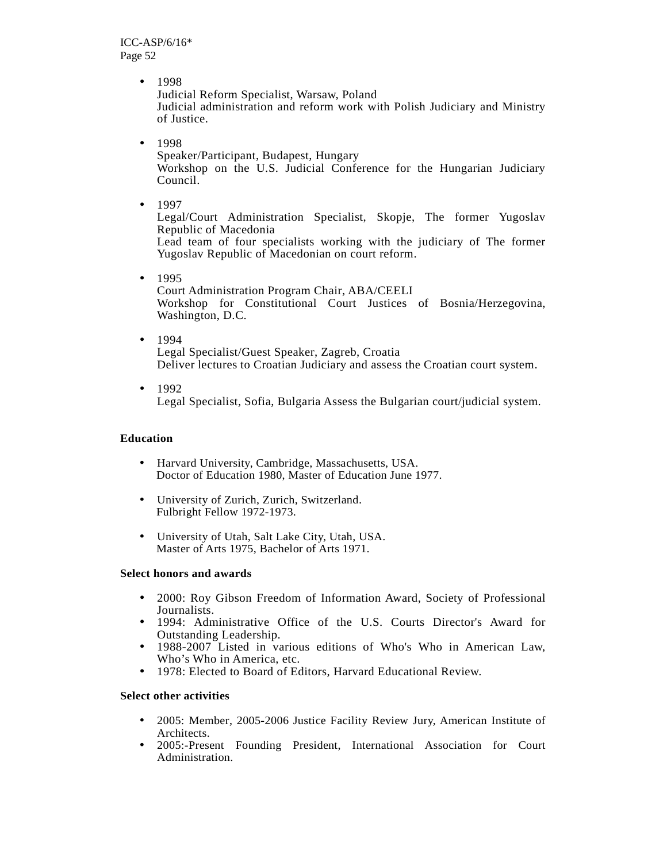• 1998

Judicial Reform Specialist, Warsaw, Poland Judicial administration and reform work with Polish Judiciary and Ministry of Justice.

• 1998

Speaker/Participant, Budapest, Hungary Workshop on the U.S. Judicial Conference for the Hungarian Judiciary Council.

• 1997

Legal/Court Administration Specialist, Skopje, The former Yugoslav Republic of Macedonia

Lead team of four specialists working with the judiciary of The former Yugoslav Republic of Macedonian on court reform.

- 1995 Court Administration Program Chair, ABA/CEELI Workshop for Constitutional Court Justices of Bosnia/Herzegovina, Washington, D.C.
- 1994 Legal Specialist/Guest Speaker, Zagreb, Croatia Deliver lectures to Croatian Judiciary and assess the Croatian court system.
- $1992$ Legal Specialist, Sofia, Bulgaria Assess the Bulgarian court/judicial system.

### **Education**

- Harvard University, Cambridge, Massachusetts, USA. Doctor of Education 1980, Master of Education June 1977.
- University of Zurich, Zurich, Switzerland. Fulbright Fellow 1972-1973.
- University of Utah, Salt Lake City, Utah, USA. Master of Arts 1975, Bachelor of Arts 1971.

### **Select honors and awards**

- 2000: Roy Gibson Freedom of Information Award, Society of Professional Journalists.
- 1994: Administrative Office of the U.S. Courts Director's Award for Outstanding Leadership.
- 1988-2007 Listed in various editions of Who's Who in American Law, Who's Who in America, etc.
- 1978: Elected to Board of Editors, Harvard Educational Review.

### **Select other activities**

- 2005: Member, 2005-2006 Justice Facility Review Jury, American Institute of Architects.
- 2005:-Present Founding President, International Association for Court Administration.